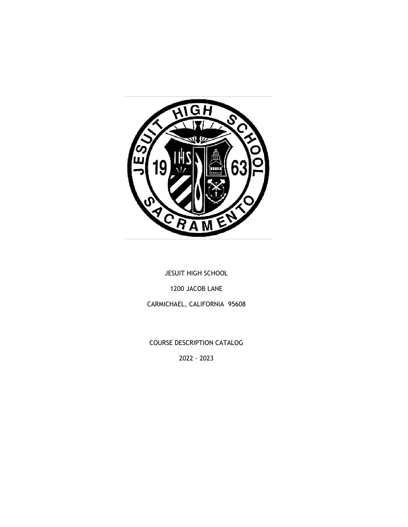

JESUIT HIGH SCHOOL 1200 JACOB LANE CARMICHAEL, CALIFORNIA 95608

COURSE DESCRIPTION CATALOG

2022 - 2023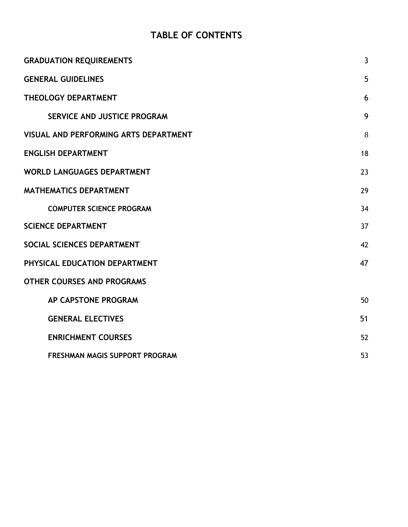# **TABLE OF CONTENTS**

<span id="page-1-0"></span>

| <b>GRADUATION REQUIREMENTS</b>        | $\mathbf{3}$ |
|---------------------------------------|--------------|
| <b>GENERAL GUIDELINES</b>             | 5            |
| THEOLOGY DEPARTMENT                   | 6            |
| SERVICE AND JUSTICE PROGRAM           | 9            |
| VISUAL AND PERFORMING ARTS DEPARTMENT | 8            |
| <b>ENGLISH DEPARTMENT</b>             | 18           |
| <b>WORLD LANGUAGES DEPARTMENT</b>     | 23           |
| <b>MATHEMATICS DEPARTMENT</b>         | 29           |
| <b>COMPUTER SCIENCE PROGRAM</b>       | 34           |
| <b>SCIENCE DEPARTMENT</b>             | 37           |
| SOCIAL SCIENCES DEPARTMENT            | 42           |
| PHYSICAL EDUCATION DEPARTMENT         | 47           |
| <b>OTHER COURSES AND PROGRAMS</b>     |              |
| AP CAPSTONE PROGRAM                   | 50           |
| <b>GENERAL ELECTIVES</b>              | 51           |
| <b>ENRICHMENT COURSES</b>             | 52           |
| FRESHMAN MAGIS SUPPORT PROGRAM        | 53           |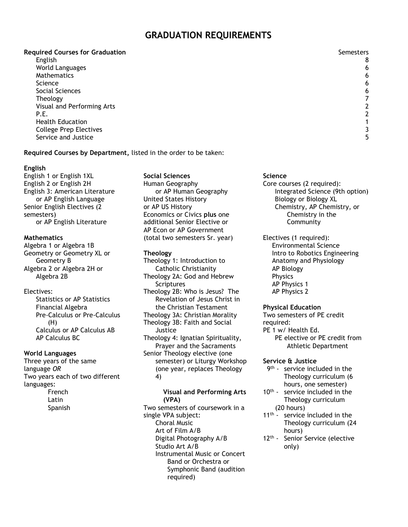### **GRADUATION REQUIREMENTS**

#### **Required Courses for Graduation** Semesters and Semesters and Semesters and Semesters and Semesters and Semesters

English 8 World Languages 6 Mathematics 6 science and the set of the set of the set of the set of the set of the set of the set of the set of the set of Social Sciences 6 Theology 7 Visual and Performing Arts 2 P.E. 2012 2013 12:20 20:20 20:20 20:20 20:20 20:20 20:20 20:20 20:20 20:20 20:20 20:20 20:20 20:20 20:20 20:20 Health Education 1 College Prep Electives 3 Service and Justice 5 and Service 3 and Service 3 and Service 3 and Service 3 and Service 3 and Service 3 and S

### **Required Courses by Department,** listed in the order to be taken:

### **English**

English 1 or English 1XL English 2 or English 2H English 3: American Literature or AP English Language Senior English Electives (2 semesters) or AP English Literature

### **Mathematics**

Algebra 1 or Algebra 1B Geometry or Geometry XL or Geometry B Algebra 2 or Algebra 2H or Algebra 2B

### Electives:

Statistics or AP Statistics Financial Algebra Pre-Calculus or Pre-Calculus (H) Calculus or AP Calculus AB AP Calculus BC

### **World Languages**

Three years of the same language *OR* Two years each of two different languages: French

Latin Spanish **Social Sciences** Human Geography or AP Human Geography United States History or AP US History Economics or Civics **plus** one additional Senior Elective or AP Econ or AP Government (total two semesters Sr. year)

### **Theology**

Theology 1: Introduction to Catholic Christianity Theology 2A: God and Hebrew Scriptures Theology 2B: Who is Jesus? The Revelation of Jesus Christ in the Christian Testament Theology 3A: Christian Morality Theology 3B: Faith and Social Justice Theology 4: Ignatian Spirituality, Prayer and the Sacraments Senior Theology elective (one semester) or Liturgy Workshop (one year, replaces Theology 4)

#### **Visual and Performing Arts (VPA)**

Two semesters of coursework in a single VPA subject: Choral Music Art of Film A/B Digital Photography A/B Studio Art A/B Instrumental Music or Concert Band or Orchestra or Symphonic Band (audition required)

### **Science**

- Core courses (2 required): Integrated Science (9th option) Biology or Biology XL Chemistry, AP Chemistry, or Chemistry in the Community
- Electives (1 required):
	- Environmental Science Intro to Robotics Engineering Anatomy and Physiology AP Biology Physics AP Physics 1 AP Physics 2

### **Physical Education**

Two semesters of PE credit required: PE 1 w/ Health Ed. PE elective or PE credit from Athletic Department

### **Service & Justice**

- 9<sup>th</sup> service included in the Theology curriculum (6 hours, one semester)
- 10<sup>th</sup> service included in the Theology curriculum (20 hours)
- 11<sup>th</sup> service included in the Theology curriculum (24 hours)
- 12<sup>th</sup> Senior Service (elective only)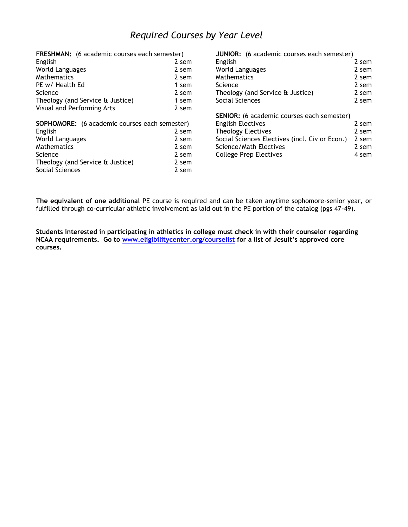## *Required Courses by Year Level*

| FRESHMAN: (6 academic courses each semester)         |       | JUNIOR: (6 academic courses each semester)     |       |
|------------------------------------------------------|-------|------------------------------------------------|-------|
| English                                              | 2 sem | English                                        | 2 sem |
| World Languages                                      | 2 sem | World Languages                                | 2 sem |
| Mathematics                                          | 2 sem | <b>Mathematics</b>                             | 2 sem |
| PE w/ Health Ed                                      | 1 sem | <b>Science</b>                                 | 2 sem |
| Science                                              | 2 sem | Theology (and Service & Justice)               | 2 sem |
| Theology (and Service & Justice)                     | 1 sem | Social Sciences                                | 2 sem |
| Visual and Performing Arts                           | 2 sem |                                                |       |
|                                                      |       | SENIOR: (6 academic courses each semester)     |       |
| <b>SOPHOMORE:</b> (6 academic courses each semester) |       | <b>English Electives</b>                       | 2 sem |
| English                                              | 2 sem | Theology Electives                             | 2 sem |
| <b>World Languages</b>                               | 2 sem | Social Sciences Electives (incl. Civ or Econ.) | 2 sem |
| <b>Mathematics</b>                                   | 2 sem | Science/Math Electives                         | 2 sem |
| Science                                              | 2 sem | <b>College Prep Electives</b>                  | 4 sem |
| Theology (and Service & Justice)                     | 2 sem |                                                |       |
| Social Sciences                                      | 2 sem |                                                |       |

**The equivalent of one additional** PE course is required and can be taken anytime sophomore-senior year, or fulfilled through co-curricular athletic involvement as laid out in the PE portion of the catalog (pgs 47-49).

<span id="page-3-0"></span>**Students interested in participating in athletics in college must check in with their counselor regarding NCAA requirements. Go to [www.eligibilitycenter.org/courselist](http://www.eligibilitycenter.org/courselist) for a list of Jesuit's approved core courses.**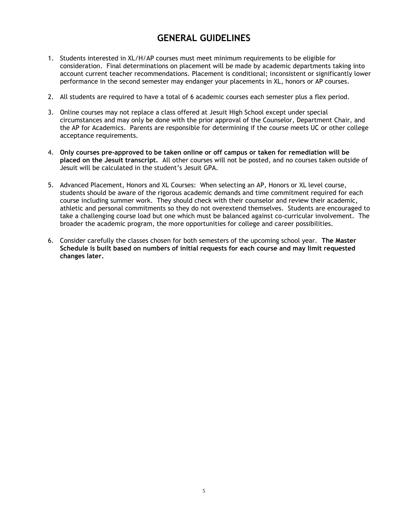## **GENERAL GUIDELINES**

- 1. Students interested in XL/H/AP courses must meet minimum requirements to be eligible for consideration. Final determinations on placement will be made by academic departments taking into account current teacher recommendations. Placement is conditional; inconsistent or significantly lower performance in the second semester may endanger your placements in XL, honors or AP courses.
- 2. All students are required to have a total of 6 academic courses each semester plus a flex period.
- 3. Online courses may not replace a class offered at Jesuit High School except under special circumstances and may only be done with the prior approval of the Counselor, Department Chair, and the AP for Academics. Parents are responsible for determining if the course meets UC or other college acceptance requirements.
- 4. **Only courses pre-approved to be taken online or off campus or taken for remediation will be placed on the Jesuit transcript.** All other courses will not be posted, and no courses taken outside of Jesuit will be calculated in the student's Jesuit GPA.
- 5. Advanced Placement, Honors and XL Courses: When selecting an AP, Honors or XL level course, students should be aware of the rigorous academic demands and time commitment required for each course including summer work. They should check with their counselor and review their academic, athletic and personal commitments so they do not overextend themselves. Students are encouraged to take a challenging course load but one which must be balanced against co-curricular involvement. The broader the academic program, the more opportunities for college and career possibilities.
- <span id="page-4-0"></span>6. Consider carefully the classes chosen for both semesters of the upcoming school year. **The Master Schedule is built based on numbers of initial requests for each course and may limit requested changes later.**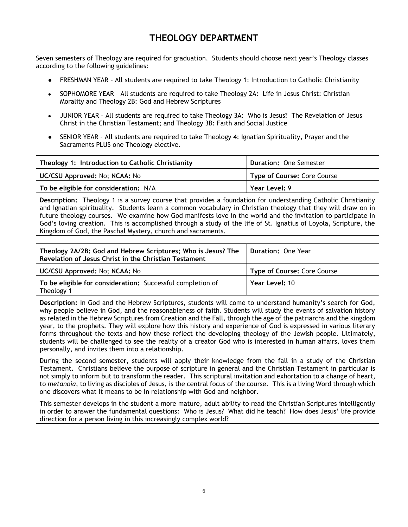## **THEOLOGY DEPARTMENT**

Seven semesters of Theology are required for graduation. Students should choose next year's Theology classes according to the following guidelines:

- FRESHMAN YEAR All students are required to take Theology 1: Introduction to Catholic Christianity
- SOPHOMORE YEAR All students are required to take Theology 2A: Life in Jesus Christ: Christian Morality and Theology 2B: God and Hebrew Scriptures
- JUNIOR YEAR All students are required to take Theology 3A: Who is Jesus? The Revelation of Jesus Christ in the Christian Testament; and Theology 3B: Faith and Social Justice
- SENIOR YEAR All students are required to take Theology 4: Ignatian Spirituality, Prayer and the Sacraments PLUS one Theology elective.

| Theology 1: Introduction to Catholic Christianity | <b>Duration: One Semester</b> |
|---------------------------------------------------|-------------------------------|
| UC/CSU Approved: No; NCAA: No                     | Type of Course: Core Course   |
| To be eligible for consideration: N/A             | Year Level: 9                 |

**Description:** Theology 1 is a survey course that provides a foundation for understanding Catholic Christianity and Ignatian spirituality. Students learn a common vocabulary in Christian theology that they will draw on in future theology courses. We examine how God manifests love in the world and the invitation to participate in God's loving creation. This is accomplished through a study of the life of St. Ignatius of Loyola, Scripture, the Kingdom of God, the Paschal Mystery, church and sacraments.

| Theology 2A/2B: God and Hebrew Scriptures; Who is Jesus? The<br>Revelation of Jesus Christ in the Christian Testament | <b>Duration: One Year</b>          |
|-----------------------------------------------------------------------------------------------------------------------|------------------------------------|
| UC/CSU Approved: No; NCAA: No                                                                                         | <b>Type of Course: Core Course</b> |
| To be eligible for consideration: Successful completion of<br>Theology 1                                              | Year Level: 10                     |

**Description:** In God and the Hebrew Scriptures, students will come to understand humanity's search for God, why people believe in God, and the reasonableness of faith. Students will study the events of salvation history as related in the Hebrew Scriptures from Creation and the Fall, through the age of the patriarchs and the kingdom year, to the prophets. They will explore how this history and experience of God is expressed in various literary forms throughout the texts and how these reflect the developing theology of the Jewish people. Ultimately, students will be challenged to see the reality of a creator God who is interested in human affairs, loves them personally, and invites them into a relationship.

During the second semester, students will apply their knowledge from the fall in a study of the Christian Testament. Christians believe the purpose of scripture in general and the Christian Testament in particular is not simply to inform but to transform the reader. This scriptural invitation and exhortation to a change of heart, to *metanoia*, to living as disciples of Jesus, is the central focus of the course. This is a living Word through which one discovers what it means to be in relationship with God and neighbor.

This semester develops in the student a more mature, adult ability to read the Christian Scriptures intelligently in order to answer the fundamental questions: Who is Jesus? What did he teach? How does Jesus' life provide direction for a person living in this increasingly complex world?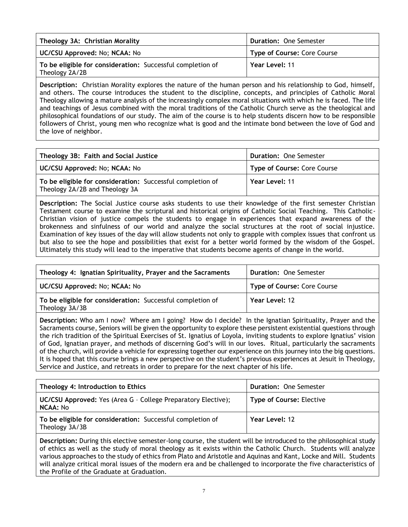| Theology 3A: Christian Morality                                              | <b>Duration: One Semester</b>      |
|------------------------------------------------------------------------------|------------------------------------|
| UC/CSU Approved: No; NCAA: No                                                | <b>Type of Course: Core Course</b> |
| To be eligible for consideration: Successful completion of<br>Theology 2A/2B | Year Level: 11                     |

**Description:** Christian Morality explores the nature of the human person and his relationship to God, himself, and others. The course introduces the student to the discipline, concepts, and principles of Catholic Moral Theology allowing a mature analysis of the increasingly complex moral situations with which he is faced. The life and teachings of Jesus combined with the moral traditions of the Catholic Church serve as the theological and philosophical foundations of our study. The aim of the course is to help students discern how to be responsible followers of Christ, young men who recognize what is good and the intimate bond between the love of God and the love of neighbor.

| Theology 3B: Faith and Social Justice                                                        | <b>Duration: One Semester</b> |
|----------------------------------------------------------------------------------------------|-------------------------------|
| UC/CSU Approved: No; NCAA: No                                                                | Type of Course: Core Course   |
| To be eligible for consideration: Successful completion of<br>Theology 2A/2B and Theology 3A | Year Level: 11                |

**Description:** The Social Justice course asks students to use their knowledge of the first semester Christian Testament course to examine the scriptural and historical origins of Catholic Social Teaching. This Catholic-Christian vision of justice compels the students to engage in experiences that expand awareness of the brokenness and sinfulness of our world and analyze the social structures at the root of social injustice. Examination of key issues of the day will allow students not only to grapple with complex issues that confront us but also to see the hope and possibilities that exist for a better world formed by the wisdom of the Gospel. Ultimately this study will lead to the imperative that students become agents of change in the world.

| Theology 4: Ignatian Spirituality, Prayer and the Sacraments                 | <b>Duration: One Semester</b>      |
|------------------------------------------------------------------------------|------------------------------------|
| UC/CSU Approved: No; NCAA: No                                                | <b>Type of Course: Core Course</b> |
| To be eligible for consideration: Successful completion of<br>Theology 3A/3B | Year Level: 12                     |

**Description:** Who am I now? Where am I going? How do I decide? In the Ignatian Spirituality, Prayer and the Sacraments course, Seniors will be given the opportunity to explore these persistent existential questions through the rich tradition of the Spiritual Exercises of St. Ignatius of Loyola, inviting students to explore Ignatius' vision of God, Ignatian prayer, and methods of discerning God's will in our loves. Ritual, particularly the sacraments of the church, will provide a vehicle for expressing together our experience on this journey into the big questions. It is hoped that this course brings a new perspective on the student's previous experiences at Jesuit in Theology, Service and Justice, and retreats in order to prepare for the next chapter of his life.

| Theology 4: Introduction to Ethics                                                      | <b>Duration: One Semester</b>   |
|-----------------------------------------------------------------------------------------|---------------------------------|
| <b>UC/CSU Approved:</b> Yes (Area G - College Preparatory Elective);<br><b>NCAA: No</b> | <b>Type of Course: Elective</b> |
| To be eligible for consideration: Successful completion of<br>Theology 3A/3B            | Year Level: 12                  |

**Description:** During this elective semester-long course, the student will be introduced to the philosophical study of ethics as well as the study of moral theology as it exists within the Catholic Church. Students will analyze various approaches to the study of ethics from Plato and Aristotle and Aquinas and Kant, Locke and Mill. Students will analyze critical moral issues of the modern era and be challenged to incorporate the five characteristics of the Profile of the Graduate at Graduation.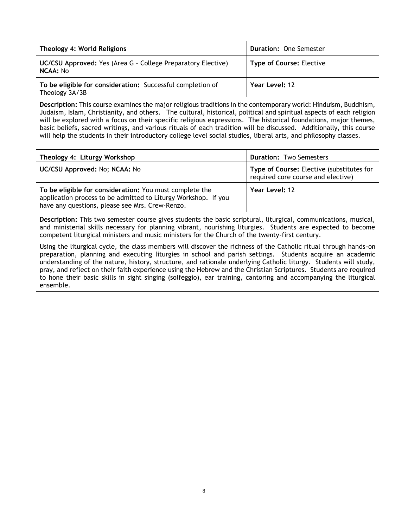| Theology 4: World Religions                                                  | <b>Duration: One Semester</b>   |
|------------------------------------------------------------------------------|---------------------------------|
| UC/CSU Approved: Yes (Area G - College Preparatory Elective)<br>NCAA: No     | <b>Type of Course: Elective</b> |
| To be eligible for consideration: Successful completion of<br>Theology 3A/3B | Year Level: 12                  |

**Description:** This course examines the major religious traditions in the contemporary world: Hinduism, Buddhism, Judaism, Islam, Christianity, and others. The cultural, historical, political and spiritual aspects of each religion will be explored with a focus on their specific religious expressions. The historical foundations, major themes, basic beliefs, sacred writings, and various rituals of each tradition will be discussed. Additionally, this course will help the students in their introductory college level social studies, liberal arts, and philosophy classes.

| Theology 4: Liturgy Workshop                                                                                                                                                 | <b>Duration: Two Semesters</b>                                                  |
|------------------------------------------------------------------------------------------------------------------------------------------------------------------------------|---------------------------------------------------------------------------------|
| UC/CSU Approved: No; NCAA: No                                                                                                                                                | Type of Course: Elective (substitutes for<br>required core course and elective) |
| To be eligible for consideration: You must complete the<br>application process to be admitted to Liturgy Workshop. If you<br>have any questions, please see Mrs. Crew-Renzo. | Year Level: 12                                                                  |

**Description:** This two semester course gives students the basic scriptural, liturgical, communications, musical, and ministerial skills necessary for planning vibrant, nourishing liturgies. Students are expected to become competent liturgical ministers and music ministers for the Church of the twenty-first century.

<span id="page-7-0"></span>Using the liturgical cycle, the class members will discover the richness of the Catholic ritual through hands-on preparation, planning and executing liturgies in school and parish settings. Students acquire an academic understanding of the nature, history, structure, and rationale underlying Catholic liturgy. Students will study, pray, and reflect on their faith experience using the Hebrew and the Christian Scriptures. Students are required to hone their basic skills in sight singing (solfeggio), ear training, cantoring and accompanying the liturgical ensemble.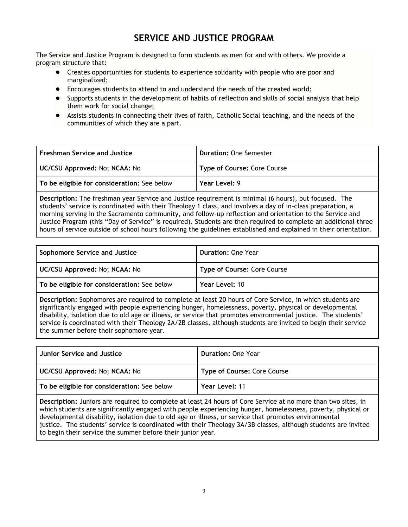## **SERVICE AND JUSTICE PROGRAM**

The Service and Justice Program is designed to form students as men for and with others. We provide a program structure that:

- Creates opportunities for students to experience solidarity with people who are poor and marginalized;
- Encourages students to attend to and understand the needs of the created world;
- Supports students in the development of habits of reflection and skills of social analysis that help them work for social change;
- Assists students in connecting their lives of faith, Catholic Social teaching, and the needs of the communities of which they are a part.

| Freshman Service and Justice                | <b>Duration: One Semester</b> |
|---------------------------------------------|-------------------------------|
| UC/CSU Approved: No; NCAA: No               | Type of Course: Core Course   |
| To be eligible for consideration: See below | Year Level: 9                 |

**Description:** The freshman year Service and Justice requirement is minimal (6 hours), but focused. The students' service is coordinated with their Theology 1 class, and involves a day of in-class preparation, a morning serving in the Sacramento community, and follow-up reflection and orientation to the Service and Justice Program (this "Day of Service" is required). Students are then required to complete an additional three hours of service outside of school hours following the guidelines established and explained in their orientation.

| Sophomore Service and Justice               | <b>Duration: One Year</b>   |
|---------------------------------------------|-----------------------------|
| UC/CSU Approved: No; NCAA: No               | Type of Course: Core Course |
| To be eligible for consideration: See below | Year Level: 10              |

**Description:** Sophomores are required to complete at least 20 hours of Core Service, in which students are significantly engaged with people experiencing hunger, homelessness, poverty, physical or developmental disability, isolation due to old age or illness, or service that promotes environmental justice. The students' service is coordinated with their Theology 2A/2B classes, although students are invited to begin their service the summer before their sophomore year.

| <b>Junior Service and Justice</b>           | <b>Duration: One Year</b>   |
|---------------------------------------------|-----------------------------|
| UC/CSU Approved: No; NCAA: No               | Type of Course: Core Course |
| To be eligible for consideration: See below | Year Level: 11              |

**Description:** Juniors are required to complete at least 24 hours of Core Service at no more than two sites, in which students are significantly engaged with people experiencing hunger, homelessness, poverty, physical or developmental disability, isolation due to old age or illness, or service that promotes environmental justice. The students' service is coordinated with their Theology 3A/3B classes, although students are invited to begin their service the summer before their junior year.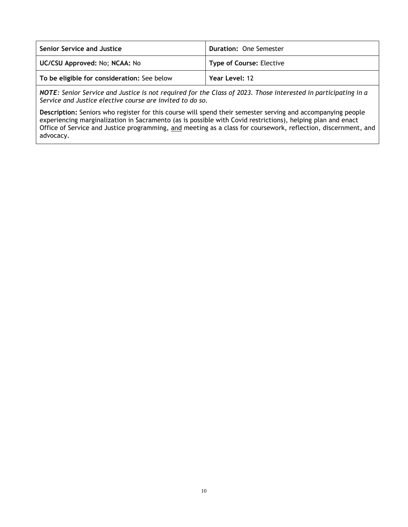| Senior Service and Justice                  | <b>Duration: One Semester</b>   |
|---------------------------------------------|---------------------------------|
| UC/CSU Approved: No; NCAA: No               | <b>Type of Course: Elective</b> |
| To be eligible for consideration: See below | Year Level: 12                  |

*NOTE: Senior Service and Justice is not required for the Class of 2023. Those interested in participating in a Service and Justice elective course are invited to do so.* 

**Description:** Seniors who register for this course will spend their semester serving and accompanying people experiencing marginalization in Sacramento (as is possible with Covid restrictions), helping plan and enact Office of Service and Justice programming, and meeting as a class for coursework, reflection, discernment, and advocacy.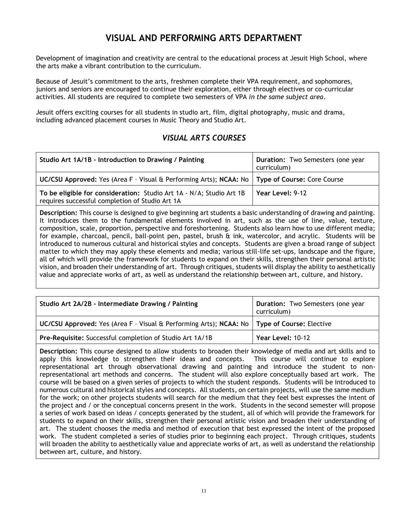## **VISUAL AND PERFORMING ARTS DEPARTMENT**

Development of imagination and creativity are central to the educational process at Jesuit High School, where the arts make a vibrant contribution to the curriculum.

Because of Jesuit's commitment to the arts, freshmen complete their VPA requirement, and sophomores, juniors and seniors are encouraged to continue their exploration, either through electives or co-curricular activities. All students are required to complete two semesters of VPA *in the same subject area*.

Jesuit offers exciting courses for all students in studio art, film, digital photography, music and drama, including advanced placement courses in Music Theory and Studio Art.

### *VISUAL ARTS COURSES*

| Studio Art 1A/1B - Introduction to Drawing / Painting                                                                   | Duration: Two Semesters (one year<br>curriculum) |
|-------------------------------------------------------------------------------------------------------------------------|--------------------------------------------------|
| UC/CSU Approved: Yes (Area F - Visual & Performing Arts); NCAA: No   Type of Course: Core Course   U                    |                                                  |
| To be eligible for consideration: Studio Art 1A - N/A; Studio Art 1B<br>requires successful completion of Studio Art 1A | Year Level: 9-12                                 |

**Description:** This course is designed to give beginning art students a basic understanding of drawing and painting. It introduces them to the fundamental elements involved in art, such as the use of line, value, texture, composition, scale, proportion, perspective and foreshortening. Students also learn how to use different media; for example, charcoal, pencil, ball-point pen, pastel, brush & ink, watercolor, and acrylic. Students will be introduced to numerous cultural and historical styles and concepts. Students are given a broad range of subject matter to which they may apply these elements and media; various still-life set-ups, landscape and the figure, all of which will provide the framework for students to expand on their skills, strengthen their personal artistic vision, and broaden their understanding of art. Through critiques, students will display the ability to aesthetically value and appreciate works of art, as well as understand the relationship between art, culture, and history.

| Studio Art 2A/2B - Intermediate Drawing / Painting                                            | <b>Duration:</b> Two Semesters (one year<br>curriculum) |
|-----------------------------------------------------------------------------------------------|---------------------------------------------------------|
| UC/CSU Approved: Yes (Area F - Visual & Performing Arts); NCAA: No   Type of Course: Elective |                                                         |
| Pre-Requisite: Successful completion of Studio Art 1A/1B                                      | Year Level: 10-12                                       |

**Description:** This course designed to allow students to broaden their knowledge of media and art skills and to apply this knowledge to strengthen their ideas and concepts. This course will continue to explore representational art through observational drawing and painting and introduce the student to nonrepresentational art methods and concerns. The student will also explore conceptually based art work. The course will be based on a given series of projects to which the student responds. Students will be introduced to numerous cultural and historical styles and concepts. All students, on certain projects, will use the same medium for the work; on other projects students will search for the medium that they feel best expresses the intent of the project and / or the conceptual concerns present in the work. Students in the second semester will propose a series of work based on ideas / concepts generated by the student, all of which will provide the framework for students to expand on their skills, strengthen their personal artistic vision and broaden their understanding of art. The student chooses the media and method of execution that best expressed the intent of the proposed work. The student completed a series of studies prior to beginning each project. Through critiques, students will broaden the ability to aesthetically value and appreciate works of art, as well as understand the relationship between art, culture, and history.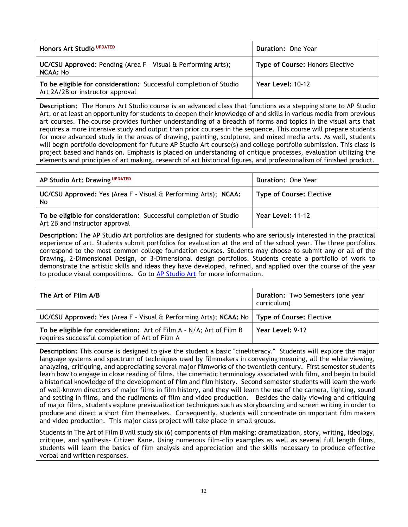| Honors Art Studio UPDATED                                                                             | Duration: One Year              |
|-------------------------------------------------------------------------------------------------------|---------------------------------|
| UC/CSU Approved: Pending (Area F - Visual & Performing Arts);<br><b>NCAA: No</b>                      | Type of Course: Honors Elective |
| To be eligible for consideration: Successful completion of Studio<br>Art 2A/2B or instructor approval | Year Level: 10-12               |

**Description:** The Honors Art Studio course is an advanced class that functions as a stepping stone to AP Studio Art, or at least an opportunity for students to deepen their knowledge of and skills in various media from previous art courses. The course provides further understanding of a breadth of forms and topics in the visual arts that requires a more intensive study and output than prior courses in the sequence. This course will prepare students for more advanced study in the areas of drawing, painting, sculpture, and mixed media arts. As well, students will begin portfolio development for future AP Studio Art course(s) and college portfolio submission. This class is project based and hands on. Emphasis is placed on understanding of critique processes, evaluation utilizing the elements and principles of art making, research of art historical figures, and professionalism of finished product.

| AP Studio Art: Drawing UPDATED                                                                      | <b>Duration: One Year</b>       |
|-----------------------------------------------------------------------------------------------------|---------------------------------|
| <b>UC/CSU Approved:</b> Yes (Area F - Visual & Performing Arts); NCAA:<br>No                        | <b>Type of Course: Elective</b> |
| To be eligible for consideration: Successful completion of Studio<br>Art 2B and instructor approval | Year Level: 11-12               |

**Description:** The AP Studio Art portfolios are designed for students who are seriously interested in the practical experience of art. Students submit portfolios for evaluation at the end of the school year. The three portfolios correspond to the most common college foundation courses. Students may choose to submit any or all of the Drawing, 2-Dimensional Design, or 3-Dimensional design portfolios. Students create a portfolio of work to demonstrate the artistic skills and ideas they have developed, refined, and applied over the course of the year to produce visual compositions. Go to [AP Studio Art](https://apcentral.collegeboard.org/pdf/ap-studio-art-course-overview.pdf?course=ap-studio-art-drawing) for more information.

| The Art of Film A/B                                                                                                     | Duration: Two Semesters (one year<br>curriculum) |
|-------------------------------------------------------------------------------------------------------------------------|--------------------------------------------------|
| UC/CSU Approved: Yes (Area F - Visual & Performing Arts); NCAA: No   Type of Course: Elective                           |                                                  |
| To be eligible for consideration: Art of Film A - N/A; Art of Film B<br>requires successful completion of Art of Film A | Year Level: 9-12                                 |

**Description:** This course is designed to give the student a basic "cineliteracy." Students will explore the major language systems and spectrum of techniques used by filmmakers in conveying meaning, all the while viewing, analyzing, critiquing, and appreciating several major filmworks of the twentieth century. First semester students learn how to engage in close reading of films, the cinematic terminology associated with film, and begin to build a historical knowledge of the development of film and film history. Second semester students will learn the work of well-known directors of major films in film history, and they will learn the use of the camera, lighting, sound and setting in films, and the rudiments of film and video production. Besides the daily viewing and critiquing of major films, students explore previsualization techniques such as storyboarding and screen writing in order to produce and direct a short film themselves. Consequently, students will concentrate on important film makers and video production. This major class project will take place in small groups.

Students in The Art of Film B will study six (6) components of film making: dramatization, story, writing, ideology, critique, and synthesis- Citizen Kane. Using numerous film-clip examples as well as several full length films, students will learn the basics of film analysis and appreciation and the skills necessary to produce effective verbal and written responses.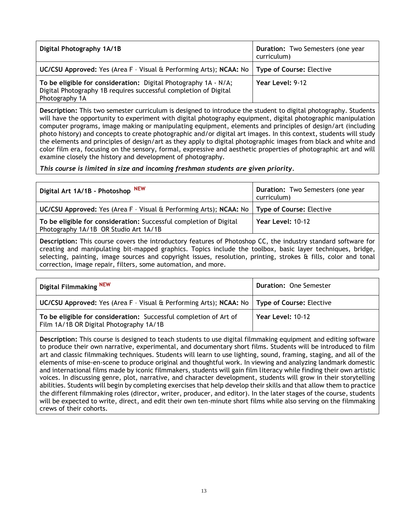| Digital Photography 1A/1B                                                                                                                             | <b>Duration:</b> Two Semesters (one year<br>curriculum) |
|-------------------------------------------------------------------------------------------------------------------------------------------------------|---------------------------------------------------------|
| UC/CSU Approved: Yes (Area F - Visual & Performing Arts); NCAA: No   Type of Course: Elective                                                         |                                                         |
| To be eligible for consideration: Digital Photography 1A - N/A;<br>Digital Photography 1B requires successful completion of Digital<br>Photography 1A | Year Level: 9-12                                        |

**Description:** This two semester curriculum is designed to introduce the student to digital photography. Students will have the opportunity to experiment with digital photography equipment, digital photographic manipulation computer programs, image making or manipulating equipment, elements and principles of design/art (including photo history) and concepts to create photographic and/or digital art images. In this context, students will study the elements and principles of design/art as they apply to digital photographic images from black and white and color film era, focusing on the sensory, formal, expressive and aesthetic properties of photographic art and will examine closely the history and development of photography.

*This course is limited in size and incoming freshman students are given priority.*

| Digital Art 1A/1B - Photoshop NEW                                                                           | Duration: Two Semesters (one year<br>curriculum) |
|-------------------------------------------------------------------------------------------------------------|--------------------------------------------------|
| UC/CSU Approved: Yes (Area F - Visual & Performing Arts); NCAA: No                                          | <b>Type of Course: Elective</b>                  |
| To be eligible for consideration: Successful completion of Digital<br>Photography 1A/1B OR Studio Art 1A/1B | Year Level: 10-12                                |

**Description:** This course covers the introductory features of Photoshop CC, the industry standard software for creating and manipulating bit-mapped graphics. Topics include the toolbox, basic layer techniques, bridge, selecting, painting, image sources and copyright issues, resolution, printing, strokes & fills, color and tonal correction, image repair, filters, some automation, and more.

| Digital Filmmaking <sup>NEW</sup>                                                                            | <b>Duration: One Semester</b> |
|--------------------------------------------------------------------------------------------------------------|-------------------------------|
| UC/CSU Approved: Yes (Area F - Visual & Performing Arts); NCAA: No   Type of Course: Elective                |                               |
| To be eligible for consideration: Successful completion of Art of<br>Film 1A/1B OR Digital Photography 1A/1B | Year Level: 10-12             |

**Description:** This course is designed to teach students to use digital filmmaking equipment and editing software to produce their own narrative, experimental, and documentary short films. Students will be introduced to film art and classic filmmaking techniques. Students will learn to use lighting, sound, framing, staging, and all of the elements of mise-en-scene to produce original and thoughtful work. In viewing and analyzing landmark domestic and international films made by iconic filmmakers, students will gain film literacy while finding their own artistic voices. In discussing genre, plot, narrative, and character development, students will grow in their storytelling abilities. Students will begin by completing exercises that help develop their skills and that allow them to practice the different filmmaking roles (director, writer, producer, and editor). In the later stages of the course, students will be expected to write, direct, and edit their own ten-minute short films while also serving on the filmmaking crews of their cohorts.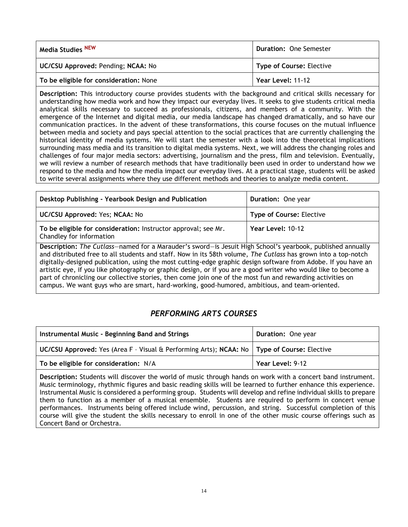| Media Studies <sup>NEW</sup>           | Duration: One Semester   |
|----------------------------------------|--------------------------|
| UC/CSU Approved: Pending; NCAA: No     | Type of Course: Elective |
| To be eligible for consideration: None | Year Level: 11-12        |

**Description:** This introductory course provides students with the background and critical skills necessary for understanding how media work and how they impact our everyday lives. It seeks to give students critical media analytical skills necessary to succeed as professionals, citizens, and members of a community. With the emergence of the Internet and digital media, our media landscape has changed dramatically, and so have our communication practices. In the advent of these transformations, this course focuses on the mutual influence between media and society and pays special attention to the social practices that are currently challenging the historical identity of media systems. We will start the semester with a look into the theoretical implications surrounding mass media and its transition to digital media systems. Next, we will address the changing roles and challenges of four major media sectors: advertising, journalism and the press, film and television. Eventually, we will review a number of research methods that have traditionally been used in order to understand how we respond to the media and how the media impact our everyday lives. At a practical stage, students will be asked to write several assignments where they use different methods and theories to analyze media content.

| Desktop Publishing - Yearbook Design and Publication                                                                                                                                                                                                                                                                                                                                                                                                                                                                                                                                                                                                                             | Duration: One year              |
|----------------------------------------------------------------------------------------------------------------------------------------------------------------------------------------------------------------------------------------------------------------------------------------------------------------------------------------------------------------------------------------------------------------------------------------------------------------------------------------------------------------------------------------------------------------------------------------------------------------------------------------------------------------------------------|---------------------------------|
| UC/CSU Approved: Yes; NCAA: No                                                                                                                                                                                                                                                                                                                                                                                                                                                                                                                                                                                                                                                   | <b>Type of Course: Elective</b> |
| To be eligible for consideration: Instructor approval; see Mr.<br>Chandley for information                                                                                                                                                                                                                                                                                                                                                                                                                                                                                                                                                                                       | Year Level: 10-12               |
| Description: The Cutlass-named for a Marauder's sword-is Jesuit High School's yearbook, published annually<br>and distributed free to all students and staff. Now in its 58th volume, The Cutlass has grown into a top-notch<br>digitally-designed publication, using the most cutting-edge graphic design software from Adobe. If you have an<br>artistic eye, if you like photography or graphic design, or if you are a good writer who would like to become a<br>part of chronicling our collective stories, then come join one of the most fun and rewarding activities on<br>campus. We want guys who are smart, hard-working, good-humored, ambitious, and team-oriented. |                                 |

### *PERFORMING ARTS COURSES*

| Instrumental Music - Beginning Band and Strings                                               | Duration: One year |
|-----------------------------------------------------------------------------------------------|--------------------|
| UC/CSU Approved: Yes (Area F - Visual & Performing Arts); NCAA: No   Type of Course: Elective |                    |
| To be eligible for consideration: N/A                                                         | Year Level: 9-12   |

**Description:** Students will discover the world of music through hands on work with a concert band instrument. Music terminology, rhythmic figures and basic reading skills will be learned to further enhance this experience. Instrumental Music is considered a performing group. Students will develop and refine individual skills to prepare them to function as a member of a musical ensemble. Students are required to perform in concert venue performances. Instruments being offered include wind, percussion, and string. Successful completion of this course will give the student the skills necessary to enroll in one of the other music course offerings such as Concert Band or Orchestra.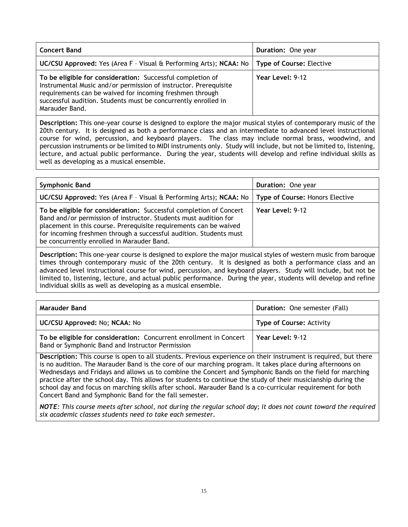| <b>Concert Band</b>                                                                                                                                                                                                                                                            | <b>Duration: One year</b> |
|--------------------------------------------------------------------------------------------------------------------------------------------------------------------------------------------------------------------------------------------------------------------------------|---------------------------|
| <b>UC/CSU Approved:</b> Yes (Area F - Visual & Performing Arts); NCAA: No   Type of Course: Elective                                                                                                                                                                           |                           |
| To be eligible for consideration: Successful completion of<br>Instrumental Music and/or permission of instructor. Prerequisite<br>requirements can be waived for incoming freshmen through<br>successful audition. Students must be concurrently enrolled in<br>Marauder Band. | Year Level: 9-12          |

**Description:** This one-year course is designed to explore the major musical styles of contemporary music of the 20th century. It is designed as both a performance class and an intermediate to advanced level instructional course for wind, percussion, and keyboard players. The class may include normal brass, woodwind, and percussion instruments or be limited to MIDI instruments only. Study will include, but not be limited to, listening, lecture, and actual public performance. During the year, students will develop and refine individual skills as well as developing as a musical ensemble.

| <b>Symphonic Band</b>                                                                                                                                                                                                                                                                                                           | <b>Duration: One year</b>       |
|---------------------------------------------------------------------------------------------------------------------------------------------------------------------------------------------------------------------------------------------------------------------------------------------------------------------------------|---------------------------------|
| UC/CSU Approved: Yes (Area F - Visual & Performing Arts); NCAA: No                                                                                                                                                                                                                                                              | Type of Course: Honors Elective |
| To be eligible for consideration: Successful completion of Concert<br>Band and/or permission of instructor. Students must audition for<br>placement in this course. Prerequisite requirements can be waived<br>for incoming freshmen through a successful audition. Students must<br>be concurrently enrolled in Marauder Band. | Year Level: 9-12                |

**Description:** This one-year course is designed to explore the major musical styles of western music from baroque times through contemporary music of the 20th century. It is designed as both a performance class and an advanced level instructional course for wind, percussion, and keyboard players. Study will include, but not be limited to, listening, lecture, and actual public performance. During the year, students will develop and refine individual skills as well as developing as a musical ensemble.

| Marauder Band                                                                                                          | Duration: One semester (Fall)   |
|------------------------------------------------------------------------------------------------------------------------|---------------------------------|
| UC/CSU Approved: No; NCAA: No                                                                                          | <b>Type of Course: Activity</b> |
| To be eligible for consideration: Concurrent enrollment in Concert<br>Band or Symphonic Band and Instructor Permission | Year Level: 9-12                |

**Description:** This course is open to all students. Previous experience on their instrument is required, but there is no audition. The Marauder Band is the core of our marching program. It takes place during afternoons on Wednesdays and Fridays and allows us to combine the Concert and Symphonic Bands on the field for marching practice after the school day. This allows for students to continue the study of their musicianship during the school day and focus on marching skills after school. Marauder Band is a co-curricular requirement for both Concert Band and Symphonic Band for the fall semester.

*NOTE: This course meets after school, not during the regular school day; it does not count toward the required six academic classes students need to take each semester.*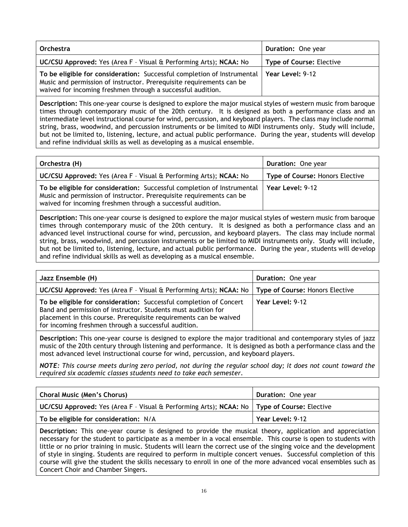| Orchestra                                                                                                                                                                                                      | <b>Duration: One year</b>       |
|----------------------------------------------------------------------------------------------------------------------------------------------------------------------------------------------------------------|---------------------------------|
| UC/CSU Approved: Yes (Area F - Visual & Performing Arts); NCAA: No                                                                                                                                             | <b>Type of Course: Elective</b> |
| To be eligible for consideration: Successful completion of Instrumental<br>Music and permission of instructor. Prerequisite requirements can be<br>waived for incoming freshmen through a successful audition. | Year Level: 9-12                |

**Description:** This one-year course is designed to explore the major musical styles of western music from baroque times through contemporary music of the 20th century. It is designed as both a performance class and an intermediate level instructional course for wind, percussion, and keyboard players. The class may include normal string, brass, woodwind, and percussion instruments or be limited to MIDI instruments only. Study will include, but not be limited to, listening, lecture, and actual public performance. During the year, students will develop and refine individual skills as well as developing as a musical ensemble.

| Orchestra (H)                                                                                                                                                                                                  | <b>Duration: One year</b>              |
|----------------------------------------------------------------------------------------------------------------------------------------------------------------------------------------------------------------|----------------------------------------|
| UC/CSU Approved: Yes (Area F - Visual & Performing Arts); NCAA: No                                                                                                                                             | <b>Type of Course: Honors Elective</b> |
| To be eligible for consideration: Successful completion of Instrumental<br>Music and permission of instructor. Prerequisite requirements can be<br>waived for incoming freshmen through a successful audition. | Year Level: 9-12                       |

**Description:** This one-year course is designed to explore the major musical styles of western music from baroque times through contemporary music of the 20th century. It is designed as both a performance class and an advanced level instructional course for wind, percussion, and keyboard players. The class may include normal string, brass, woodwind, and percussion instruments or be limited to MIDI instruments only. Study will include, but not be limited to, listening, lecture, and actual public performance. During the year, students will develop and refine individual skills as well as developing as a musical ensemble.

| Jazz Ensemble (H)                                                                                                                                                                                                                                                | <b>Duration: One year</b>              |
|------------------------------------------------------------------------------------------------------------------------------------------------------------------------------------------------------------------------------------------------------------------|----------------------------------------|
| UC/CSU Approved: Yes (Area F - Visual & Performing Arts); NCAA: No                                                                                                                                                                                               | <b>Type of Course: Honors Elective</b> |
| To be eligible for consideration: Successful completion of Concert<br>Band and permission of instructor. Students must audition for<br>placement in this course. Prerequisite requirements can be waived<br>for incoming freshmen through a successful audition. | Year Level: 9-12                       |

**Description:** This one-year course is designed to explore the major traditional and contemporary styles of jazz music of the 20th century through listening and performance. It is designed as both a performance class and the most advanced level instructional course for wind, percussion, and keyboard players.

*NOTE: This course meets during zero period, not during the regular school day; it does not count toward the required six academic classes students need to take each semester.*

| Choral Music (Men's Chorus)                                                                   | Duration: One year |
|-----------------------------------------------------------------------------------------------|--------------------|
| UC/CSU Approved: Yes (Area F - Visual & Performing Arts); NCAA: No   Type of Course: Elective |                    |
| To be eligible for consideration: N/A                                                         | Year Level: 9-12   |

**Description:** This one-year course is designed to provide the musical theory, application and appreciation necessary for the student to participate as a member in a vocal ensemble. This course is open to students with little or no prior training in music. Students will learn the correct use of the singing voice and the development of style in singing. Students are required to perform in multiple concert venues. Successful completion of this course will give the student the skills necessary to enroll in one of the more advanced vocal ensembles such as Concert Choir and Chamber Singers.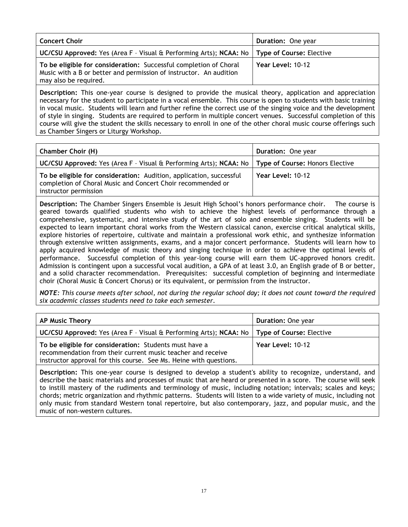| <b>Concert Choir</b>                                                                                                                                             | <b>Duration: One year</b>       |
|------------------------------------------------------------------------------------------------------------------------------------------------------------------|---------------------------------|
| UC/CSU Approved: Yes (Area F - Visual & Performing Arts); NCAA: No                                                                                               | <b>Type of Course: Elective</b> |
| To be eligible for consideration: Successful completion of Choral<br>Music with a B or better and permission of instructor. An audition<br>may also be required. | Year Level: 10-12               |

**Description:** This one-year course is designed to provide the musical theory, application and appreciation necessary for the student to participate in a vocal ensemble. This course is open to students with basic training in vocal music. Students will learn and further refine the correct use of the singing voice and the development of style in singing. Students are required to perform in multiple concert venues. Successful completion of this course will give the student the skills necessary to enroll in one of the other choral music course offerings such as Chamber Singers or Liturgy Workshop.

| <b>Chamber Choir (H)</b>                                                                                                                                    | <b>Duration: One year</b> |
|-------------------------------------------------------------------------------------------------------------------------------------------------------------|---------------------------|
| UC/CSU Approved: Yes (Area F - Visual & Performing Arts); NCAA: No   Type of Course: Honors Elective                                                        |                           |
| To be eligible for consideration: Audition, application, successful<br>completion of Choral Music and Concert Choir recommended or<br>instructor permission | Year Level: 10-12         |

**Description:** The Chamber Singers Ensemble is Jesuit High School's honors performance choir. The course is geared towards qualified students who wish to achieve the highest levels of performance through a comprehensive, systematic, and intensive study of the art of solo and ensemble singing. Students will be expected to learn important choral works from the Western classical canon, exercise critical analytical skills, explore histories of repertoire, cultivate and maintain a professional work ethic, and synthesize information through extensive written assignments, exams, and a major concert performance. Students will learn how to apply acquired knowledge of music theory and singing technique in order to achieve the optimal levels of performance. Successful completion of this year-long course will earn them UC-approved honors credit. Admission is contingent upon a successful vocal audition, a GPA of at least 3.0, an English grade of B or better, and a solid character recommendation. Prerequisites: successful completion of beginning and intermediate choir (Choral Music & Concert Chorus) or its equivalent, or permission from the instructor.

*NOTE: This course meets after school, not during the regular school day; it does not count toward the required six academic classes students need to take each semester.*

| <b>AP Music Theory</b>                                                                                                                                                                      | <b>Duration: One year</b> |
|---------------------------------------------------------------------------------------------------------------------------------------------------------------------------------------------|---------------------------|
| UC/CSU Approved: Yes (Area F - Visual & Performing Arts); NCAA: No   Type of Course: Elective                                                                                               |                           |
| To be eligible for consideration: Students must have a<br>recommendation from their current music teacher and receive<br>instructor approval for this course. See Ms. Heine with questions. | Year Level: 10-12         |

**Description:** This one-year course is designed to develop a student's ability to recognize, understand, and describe the basic materials and processes of music that are heard or presented in a score. The course will seek to instill mastery of the rudiments and terminology of music, including notation; intervals; scales and keys; chords; metric organization and rhythmic patterns. Students will listen to a wide variety of music, including not only music from standard Western tonal repertoire, but also contemporary, jazz, and popular music, and the music of non-western cultures.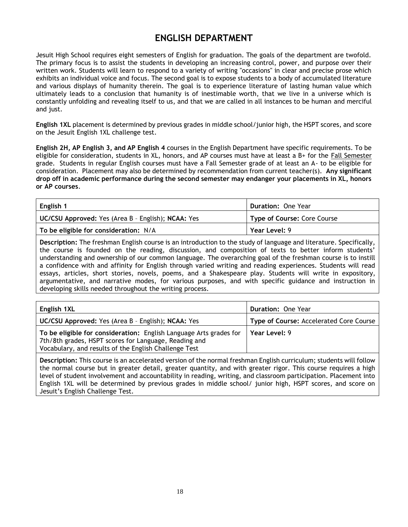## **ENGLISH DEPARTMENT**

Jesuit High School requires eight semesters of English for graduation. The goals of the department are twofold. The primary focus is to assist the students in developing an increasing control, power, and purpose over their written work. Students will learn to respond to a variety of writing "occasions" in clear and precise prose which exhibits an individual voice and focus. The second goal is to expose students to a body of accumulated literature and various displays of humanity therein. The goal is to experience literature of lasting human value which ultimately leads to a conclusion that humanity is of inestimable worth, that we live in a universe which is constantly unfolding and revealing itself to us, and that we are called in all instances to be human and merciful and just.

**English 1XL** placement is determined by previous grades in middle school/junior high, the HSPT scores, and score on the Jesuit English 1XL challenge test.

**English 2H, AP English 3, and AP English 4** courses in the English Department have specific requirements. To be eligible for consideration, students in XL, honors, and AP courses must have at least a B+ for the Fall Semester grade. Students in regular English courses must have a Fall Semester grade of at least an A- to be eligible for consideration. Placement may also be determined by recommendation from current teacher(s). **Any significant drop off in academic performance during the second semester may endanger your placements in XL, honors or AP courses**.

| English 1                                          | <b>Duration: One Year</b>          |
|----------------------------------------------------|------------------------------------|
| UC/CSU Approved: Yes (Area B - English); NCAA: Yes | <b>Type of Course: Core Course</b> |
| To be eligible for consideration: N/A              | Year Level: 9                      |

**Description:** The freshman English course is an introduction to the study of language and literature. Specifically, the course is founded on the reading, discussion, and composition of texts to better inform students' understanding and ownership of our common language. The overarching goal of the freshman course is to instill a confidence with and affinity for English through varied writing and reading experiences. Students will read essays, articles, short stories, novels, poems, and a Shakespeare play. Students will write in expository, argumentative, and narrative modes, for various purposes, and with specific guidance and instruction in developing skills needed throughout the writing process.

| English 1XL                                                                                                                                                                          | <b>Duration: One Year</b>               |
|--------------------------------------------------------------------------------------------------------------------------------------------------------------------------------------|-----------------------------------------|
| UC/CSU Approved: Yes (Area B - English); NCAA: Yes                                                                                                                                   | Type of Course: Accelerated Core Course |
| To be eligible for consideration: English Language Arts grades for<br>7th/8th grades, HSPT scores for Language, Reading and<br>Vocabulary, and results of the English Challenge Test | Year Level: 9                           |

**Description:** This course is an accelerated version of the normal freshman English curriculum; students will follow the normal course but in greater detail, greater quantity, and with greater rigor. This course requires a high level of student involvement and accountability in reading, writing, and classroom participation. Placement into English 1XL will be determined by previous grades in middle school/ junior high, HSPT scores, and score on Jesuit's English Challenge Test.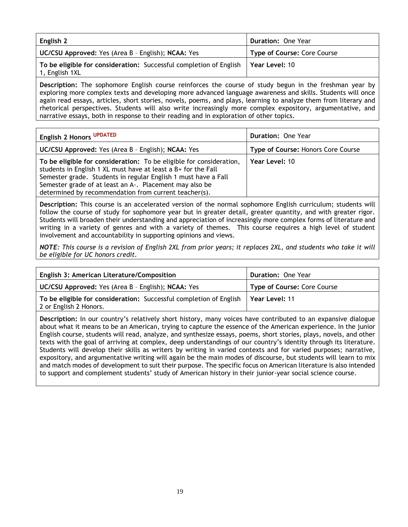| English 2                                                                            | <b>Duration: One Year</b>   |
|--------------------------------------------------------------------------------------|-----------------------------|
| UC/CSU Approved: Yes (Area B - English); NCAA: Yes                                   | Type of Course: Core Course |
| To be eligible for consideration: Successful completion of English<br>1, English 1XL | Year Level: 10              |
|                                                                                      |                             |

**Description:** The sophomore English course reinforces the course of study begun in the freshman year by exploring more complex texts and developing more advanced language awareness and skills. Students will once again read essays, articles, short stories, novels, poems, and plays, learning to analyze them from literary and rhetorical perspectives. Students will also write increasingly more complex expository, argumentative, and narrative essays, both in response to their reading and in exploration of other topics.

| English 2 Honors UPDATED                                                                                                                                                                                                                                                                                                   | <b>Duration: One Year</b>          |
|----------------------------------------------------------------------------------------------------------------------------------------------------------------------------------------------------------------------------------------------------------------------------------------------------------------------------|------------------------------------|
| <b>UC/CSU Approved:</b> Yes (Area B - English); <b>NCAA:</b> Yes                                                                                                                                                                                                                                                           | Type of Course: Honors Core Course |
| To be eligible for consideration: To be eligible for consideration,<br>students in English 1 XL must have at least a B+ for the Fall<br>Semester grade. Students in regular English 1 must have a Fall<br>Semester grade of at least an A-. Placement may also be<br>determined by recommendation from current teacher(s). | Year Level: 10                     |

**Description:** This course is an accelerated version of the normal sophomore English curriculum; students will follow the course of study for sophomore year but in greater detail, greater quantity, and with greater rigor. Students will broaden their understanding and appreciation of increasingly more complex forms of literature and writing in a variety of genres and with a variety of themes. This course requires a high level of student involvement and accountability in supporting opinions and views.

*NOTE: This course is a revision of English 2XL from prior years; it replaces 2XL, and students who take it will be eligible for UC honors credit.*

| <b>English 3: American Literature/Composition</b>                                            | Duration: One Year          |
|----------------------------------------------------------------------------------------------|-----------------------------|
| UC/CSU Approved: Yes (Area B - English); NCAA: Yes                                           | Type of Course: Core Course |
| To be eligible for consideration: Successful completion of English<br>2 or English 2 Honors. | Year Level: 11              |

**Description:** In our country's relatively short history, many voices have contributed to an expansive dialogue about what it means to be an American, trying to capture the essence of the American experience. In the junior English course, students will read, analyze, and synthesize essays, poems, short stories, plays, novels, and other texts with the goal of arriving at complex, deep understandings of our country's identity through its literature. Students will develop their skills as writers by writing in varied contexts and for varied purposes; narrative, expository, and argumentative writing will again be the main modes of discourse, but students will learn to mix and match modes of development to suit their purpose. The specific focus on American literature is also intended to support and complement students' study of American history in their junior-year social science course.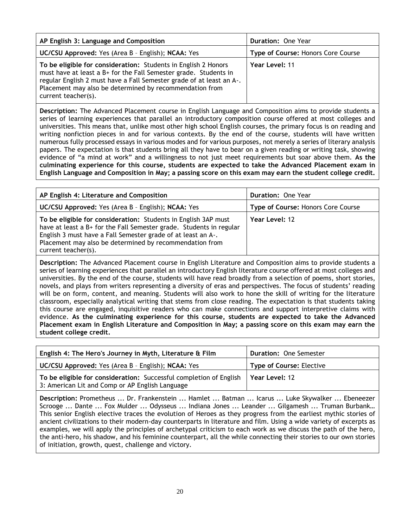| AP English 3: Language and Composition                                                                                                                                                                                                                                                       | <b>Duration: One Year</b>          |
|----------------------------------------------------------------------------------------------------------------------------------------------------------------------------------------------------------------------------------------------------------------------------------------------|------------------------------------|
| UC/CSU Approved: Yes (Area B - English); NCAA: Yes                                                                                                                                                                                                                                           | Type of Course: Honors Core Course |
| To be eligible for consideration: Students in English 2 Honors<br>must have at least a B+ for the Fall Semester grade. Students in<br>regular English 2 must have a Fall Semester grade of at least an A-.<br>Placement may also be determined by recommendation from<br>current teacher(s). | Year Level: 11                     |

**Description:** The Advanced Placement course in English Language and Composition aims to provide students a series of learning experiences that parallel an introductory composition course offered at most colleges and universities. This means that, unlike most other high school English courses, the primary focus is on reading and writing nonfiction pieces in and for various contexts. By the end of the course, students will have written numerous fully processed essays in various modes and for various purposes, not merely a series of literary analysis papers. The expectation is that students bring all they have to bear on a given reading or writing task, showing evidence of "a mind at work" and a willingness to not just meet requirements but soar above them. **As the culminating experience for this course, students are expected to take the Advanced Placement exam in English Language and Composition in May; a passing score on this exam may earn the student college credit.**

| AP English 4: Literature and Composition                                                                                                                                                                                                                                                | <b>Duration: One Year</b>          |
|-----------------------------------------------------------------------------------------------------------------------------------------------------------------------------------------------------------------------------------------------------------------------------------------|------------------------------------|
| UC/CSU Approved: Yes (Area B - English); NCAA: Yes                                                                                                                                                                                                                                      | Type of Course: Honors Core Course |
| To be eligible for consideration: Students in English 3AP must<br>have at least a B+ for the Fall Semester grade. Students in regular<br>English 3 must have a Fall Semester grade of at least an A-.<br>Placement may also be determined by recommendation from<br>current teacher(s). | Year Level: 12                     |

**Description:** The Advanced Placement course in English Literature and Composition aims to provide students a series of learning experiences that parallel an introductory English literature course offered at most colleges and universities. By the end of the course, students will have read broadly from a selection of poems, short stories, novels, and plays from writers representing a diversity of eras and perspectives. The focus of students' reading will be on form, content, and meaning. Students will also work to hone the skill of writing for the literature classroom, especially analytical writing that stems from close reading. The expectation is that students taking this course are engaged, inquisitive readers who can make connections and support interpretive claims with evidence. **As the culminating experience for this course, students are expected to take the Advanced Placement exam in English Literature and Composition in May; a passing score on this exam may earn the student college credit.**

| English 4: The Hero's Journey in Myth, Literature & Film                                                              | <b>Duration: One Semester</b>   |
|-----------------------------------------------------------------------------------------------------------------------|---------------------------------|
| UC/CSU Approved: Yes (Area B - English); NCAA: Yes                                                                    | <b>Type of Course: Elective</b> |
| To be eligible for consideration: Successful completion of English<br>3: American Lit and Comp or AP English Language | Year Level: 12                  |

**Description:** Prometheus ... Dr. Frankenstein ... Hamlet ... Batman ... Icarus ... Luke Skywalker ... Ebeneezer Scrooge ... Dante ... Fox Mulder ... Odysseus ... Indiana Jones ... Leander ... Gilgamesh ... Truman Burbank… This senior English elective traces the evolution of Heroes as they progress from the earliest mythic stories of ancient civilizations to their modern-day counterparts in literature and film. Using a wide variety of excerpts as examples, we will apply the principles of archetypal criticism to each work as we discuss the path of the hero, the anti-hero, his shadow, and his feminine counterpart, all the while connecting their stories to our own stories of initiation, growth, quest, challenge and victory.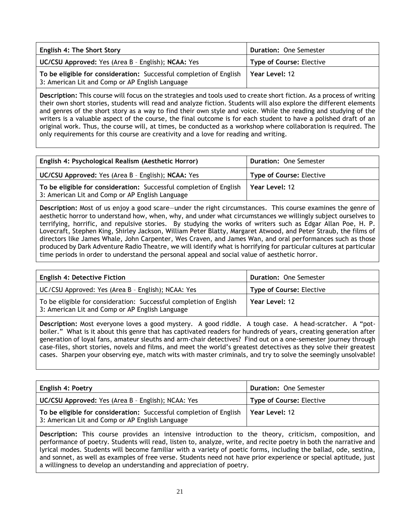| <b>English 4: The Short Story</b>                                                                                     | <b>Duration: One Semester</b>   |
|-----------------------------------------------------------------------------------------------------------------------|---------------------------------|
| UC/CSU Approved: Yes (Area B - English); NCAA: Yes                                                                    | <b>Type of Course: Elective</b> |
| To be eligible for consideration: Successful completion of English<br>3: American Lit and Comp or AP English Language | Year Level: 12                  |

**Description:** This course will focus on the strategies and tools used to create short fiction. As a process of writing their own short stories, students will read and analyze fiction. Students will also explore the different elements and genres of the short story as a way to find their own style and voice. While the reading and studying of the writers is a valuable aspect of the course, the final outcome is for each student to have a polished draft of an original work. Thus, the course will, at times, be conducted as a workshop where collaboration is required. The only requirements for this course are creativity and a love for reading and writing.

| English 4: Psychological Realism (Aesthetic Horror)                                                                   | <b>Duration: One Semester</b>   |
|-----------------------------------------------------------------------------------------------------------------------|---------------------------------|
| UC/CSU Approved: Yes (Area B - English); NCAA: Yes                                                                    | <b>Type of Course: Elective</b> |
| To be eligible for consideration: Successful completion of English<br>3: American Lit and Comp or AP English Language | Year Level: 12                  |

**Description:** Most of us enjoy a good scare—under the right circumstances. This course examines the genre of aesthetic horror to understand how, when, why, and under what circumstances we willingly subject ourselves to terrifying, horrific, and repulsive stories. By studying the works of writers such as Edgar Allan Poe, H. P. Lovecraft, Stephen King, Shirley Jackson, William Peter Blatty, Margaret Atwood, and Peter Straub, the films of directors like James Whale, John Carpenter, Wes Craven, and James Wan, and oral performances such as those produced by Dark Adventure Radio Theatre, we will identify what is horrifying for particular cultures at particular time periods in order to understand the personal appeal and social value of aesthetic horror.

| <b>English 4: Detective Fiction</b>                                                                                   | <b>Duration: One Semester</b>   |
|-----------------------------------------------------------------------------------------------------------------------|---------------------------------|
| UC/CSU Approved: Yes (Area B - English); NCAA: Yes                                                                    | <b>Type of Course: Elective</b> |
| To be eligible for consideration: Successful completion of English<br>3: American Lit and Comp or AP English Language | Year Level: 12                  |

**Description:** Most everyone loves a good mystery. A good riddle. A tough case. A head-scratcher. A "potboiler." What is it about this genre that has captivated readers for hundreds of years, creating generation after generation of loyal fans, amateur sleuths and arm-chair detectives? Find out on a one-semester journey through case-files, short stories, novels and films, and meet the world's greatest detectives as they solve their greatest cases. Sharpen your observing eye, match wits with master criminals, and try to solve the seemingly unsolvable!

| <b>English 4: Poetry</b>                                                                                              | <b>Duration: One Semester</b>   |
|-----------------------------------------------------------------------------------------------------------------------|---------------------------------|
| UC/CSU Approved: Yes (Area B - English); NCAA: Yes                                                                    | <b>Type of Course: Elective</b> |
| To be eligible for consideration: Successful completion of English<br>3: American Lit and Comp or AP English Language | Year Level: 12                  |

**Description:** This course provides an intensive introduction to the theory, criticism, composition, and performance of poetry. Students will read, listen to, analyze, write, and recite poetry in both the narrative and lyrical modes. Students will become familiar with a variety of poetic forms, including the ballad, ode, sestina, and sonnet, as well as examples of free verse. Students need not have prior experience or special aptitude, just a willingness to develop an understanding and appreciation of poetry.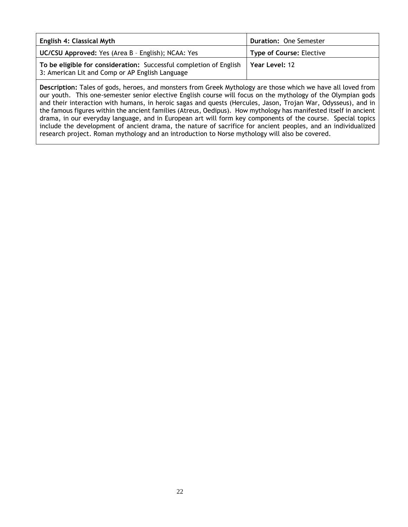| <b>English 4: Classical Myth</b>                                                                                      | <b>Duration: One Semester</b>   |
|-----------------------------------------------------------------------------------------------------------------------|---------------------------------|
| <b>UC/CSU Approved:</b> Yes (Area B - English); NCAA: Yes                                                             | <b>Type of Course: Elective</b> |
| To be eligible for consideration: Successful completion of English<br>3: American Lit and Comp or AP English Language | Year Level: 12                  |

<span id="page-21-0"></span>**Description:** Tales of gods, heroes, and monsters from Greek Mythology are those which we have all loved from our youth. This one-semester senior elective English course will focus on the mythology of the Olympian gods and their interaction with humans, in heroic sagas and quests (Hercules, Jason, Trojan War, Odysseus), and in the famous figures within the ancient families (Atreus, Oedipus). How mythology has manifested itself in ancient drama, in our everyday language, and in European art will form key components of the course. Special topics include the development of ancient drama, the nature of sacrifice for ancient peoples, and an individualized research project. Roman mythology and an introduction to Norse mythology will also be covered.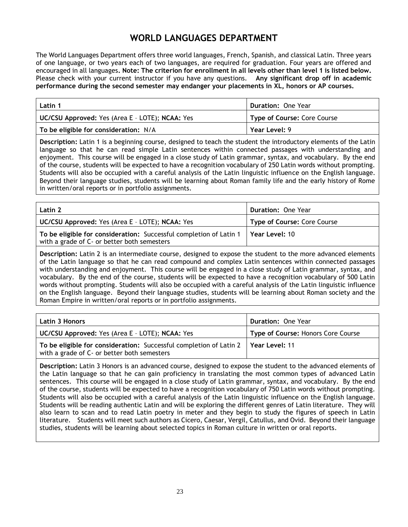## **WORLD LANGUAGES DEPARTMENT**

The World Languages Department offers three world languages, French, Spanish, and classical Latin. Three years of one language, or two years each of two languages, are required for graduation. Four years are offered and encouraged in all languages**. Note: The criterion for enrollment in all levels other than level 1 is listed below.**  Please check with your current instructor if you have any questions. **Any significant drop off in academic performance during the second semester may endanger your placements in XL, honors or AP courses.**

| Latin 1                                         | Duration: One Year                 |
|-------------------------------------------------|------------------------------------|
| UC/CSU Approved: Yes (Area E - LOTE); NCAA: Yes | <b>Type of Course: Core Course</b> |
| To be eligible for consideration: N/A           | Year Level: 9                      |

**Description:** Latin 1 is a beginning course, designed to teach the student the introductory elements of the Latin language so that he can read simple Latin sentences within connected passages with understanding and enjoyment. This course will be engaged in a close study of Latin grammar, syntax, and vocabulary. By the end of the course, students will be expected to have a recognition vocabulary of 250 Latin words without prompting. Students will also be occupied with a careful analysis of the Latin linguistic influence on the English language. Beyond their language studies, students will be learning about Roman family life and the early history of Rome in written/oral reports or in portfolio assignments.

| <b>Latin 2</b>                                                                                                    | <b>Duration: One Year</b>          |
|-------------------------------------------------------------------------------------------------------------------|------------------------------------|
| UC/CSU Approved: Yes (Area E - LOTE); NCAA: Yes                                                                   | <b>Type of Course: Core Course</b> |
| To be eligible for consideration: Successful completion of Latin 1<br>with a grade of C- or better both semesters | Year Level: 10                     |

**Description:** Latin 2 is an intermediate course, designed to expose the student to the more advanced elements of the Latin language so that he can read compound and complex Latin sentences within connected passages with understanding and enjoyment. This course will be engaged in a close study of Latin grammar, syntax, and vocabulary. By the end of the course, students will be expected to have a recognition vocabulary of 500 Latin words without prompting. Students will also be occupied with a careful analysis of the Latin linguistic influence on the English language. Beyond their language studies, students will be learning about Roman society and the Roman Empire in written/oral reports or in portfolio assignments.

| <b>Latin 3 Honors</b>                                                                                                              | <b>Duration: One Year</b>          |
|------------------------------------------------------------------------------------------------------------------------------------|------------------------------------|
| <b>UC/CSU Approved:</b> Yes (Area E - LOTE); NCAA: Yes                                                                             | Type of Course: Honors Core Course |
| To be eligible for consideration: Successful completion of Latin 2   Year Level: 11<br>with a grade of C- or better both semesters |                                    |

**Description:** Latin 3 Honors is an advanced course, designed to expose the student to the advanced elements of the Latin language so that he can gain proficiency in translating the most common types of advanced Latin sentences. This course will be engaged in a close study of Latin grammar, syntax, and vocabulary. By the end of the course, students will be expected to have a recognition vocabulary of 750 Latin words without prompting. Students will also be occupied with a careful analysis of the Latin linguistic influence on the English language. Students will be reading authentic Latin and will be exploring the different genres of Latin literature. They will also learn to scan and to read Latin poetry in meter and they begin to study the figures of speech in Latin literature. Students will meet such authors as Cicero, Caesar, Vergil, Catullus, and Ovid. Beyond their language studies, students will be learning about selected topics in Roman culture in written or oral reports.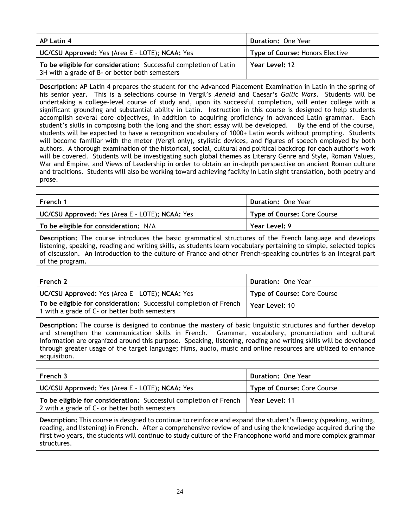| AP Latin 4                                                                                                         | <b>Duration: One Year</b>       |
|--------------------------------------------------------------------------------------------------------------------|---------------------------------|
| UC/CSU Approved: Yes (Area E - LOTE); NCAA: Yes                                                                    | Type of Course: Honors Elective |
| To be eligible for consideration: Successful completion of Latin<br>3H with a grade of B- or better both semesters | Year Level: 12                  |

**Description:** AP Latin 4 prepares the student for the Advanced Placement Examination in Latin in the spring of his senior year. This is a selections course in Vergil's *Aeneid* and Caesar's *Gallic Wars*. Students will be undertaking a college-level course of study and, upon its successful completion, will enter college with a significant grounding and substantial ability in Latin. Instruction in this course is designed to help students accomplish several core objectives, in addition to acquiring proficiency in advanced Latin grammar. Each student's skills in composing both the long and the short essay will be developed. By the end of the course, students will be expected to have a recognition vocabulary of 1000+ Latin words without prompting. Students will become familiar with the meter (Vergil only), stylistic devices, and figures of speech employed by both authors. A thorough examination of the historical, social, cultural and political backdrop for each author's work will be covered. Students will be investigating such global themes as Literary Genre and Style, Roman Values, War and Empire, and Views of Leadership in order to obtain an in-depth perspective on ancient Roman culture and traditions. Students will also be working toward achieving facility in Latin sight translation, both poetry and prose.

| French 1                                        | <b>Duration: One Year</b>   |
|-------------------------------------------------|-----------------------------|
| UC/CSU Approved: Yes (Area E - LOTE); NCAA: Yes | Type of Course: Core Course |
| To be eligible for consideration: N/A           | Year Level: 9               |
|                                                 |                             |

**Description:** The course introduces the basic grammatical structures of the French language and develops listening, speaking, reading and writing skills, as students learn vocabulary pertaining to simple, selected topics of discussion. An introduction to the culture of France and other French-speaking countries is an integral part of the program.

| French 2                                                                                                           | <b>Duration: One Year</b>   |
|--------------------------------------------------------------------------------------------------------------------|-----------------------------|
| UC/CSU Approved: Yes (Area E - LOTE); NCAA: Yes                                                                    | Type of Course: Core Course |
| To be eligible for consideration: Successful completion of French<br>1 with a grade of C- or better both semesters | Year Level: 10              |

**Description:** The course is designed to continue the mastery of basic linguistic structures and further develop and strengthen the communication skills in French. Grammar, vocabulary, pronunciation and cultural information are organized around this purpose. Speaking, listening, reading and writing skills will be developed through greater usage of the target language; films, audio, music and online resources are utilized to enhance acquisition.

| French 3                                                                                                           | <b>Duration: One Year</b>          |
|--------------------------------------------------------------------------------------------------------------------|------------------------------------|
| UC/CSU Approved: Yes (Area E - LOTE); NCAA: Yes                                                                    | <b>Type of Course: Core Course</b> |
| To be eligible for consideration: Successful completion of French<br>2 with a grade of C- or better both semesters | l Year Level: 11                   |
|                                                                                                                    |                                    |

**Description:** This course is designed to continue to reinforce and expand the student's fluency (speaking, writing, reading, and listening) in French. After a comprehensive review of and using the knowledge acquired during the first two years, the students will continue to study culture of the Francophone world and more complex grammar structures.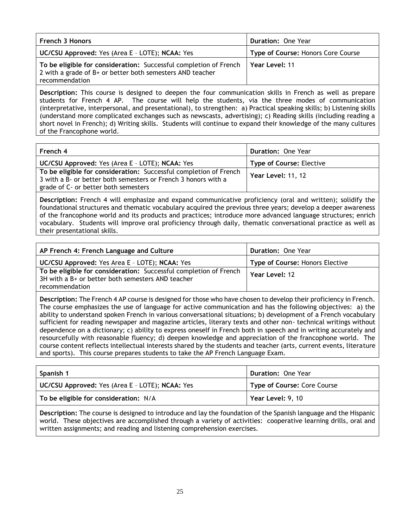| <b>French 3 Honors</b>                                                                                                                           | <b>Duration: One Year</b>          |
|--------------------------------------------------------------------------------------------------------------------------------------------------|------------------------------------|
| <b>UC/CSU Approved:</b> Yes (Area E - LOTE); NCAA: Yes                                                                                           | Type of Course: Honors Core Course |
| To be eligible for consideration: Successful completion of French<br>2 with a grade of B+ or better both semesters AND teacher<br>recommendation | Year Level: 11                     |

**Description:** This course is designed to deepen the four communication skills in French as well as prepare students for French 4 AP. The course will help the students, via the three modes of communication (interpretative, interpersonal, and presentational), to strengthen: a) Practical speaking skills; b) Listening skills (understand more complicated exchanges such as newscasts, advertising); c) Reading skills (including reading a short novel in French); d) Writing skills. Students will continue to expand their knowledge of the many cultures of the Francophone world.

| French 4                                                                                                                            | <b>Duration: One Year</b>       |
|-------------------------------------------------------------------------------------------------------------------------------------|---------------------------------|
| <b>UC/CSU Approved:</b> Yes (Area E - LOTE); NCAA: Yes                                                                              | <b>Type of Course: Elective</b> |
| To be eligible for consideration: Successful completion of French<br>3 with a B- or better both semesters or French 3 honors with a | <b>Year Level: 11, 12</b>       |
| grade of C- or better both semesters                                                                                                |                                 |

**Description:** French 4 will emphasize and expand communicative proficiency (oral and written); solidify the foundational structures and thematic vocabulary acquired the previous three years; develop a deeper awareness of the francophone world and its products and practices; introduce more advanced language structures; enrich vocabulary. Students will improve oral proficiency through daily, thematic conversational practice as well as their presentational skills.

| AP French 4: French Language and Culture                                                                               | <b>Duration: One Year</b>       |
|------------------------------------------------------------------------------------------------------------------------|---------------------------------|
| UC/CSU Approved: Yes Area E - LOTE); NCAA: Yes                                                                         | Type of Course: Honors Elective |
| To be eligible for consideration: Successful completion of French<br>3H with a B+ or better both semesters AND teacher | Year Level: 12                  |
| recommendation                                                                                                         |                                 |

**Description:** The French 4 AP course is designed for those who have chosen to develop their proficiency in French. The course emphasizes the use of language for active communication and has the following objectives: a) the ability to understand spoken French in various conversational situations; b) development of a French vocabulary sufficient for reading newspaper and magazine articles, literary texts and other non- technical writings without dependence on a dictionary; c) ability to express oneself in French both in speech and in writing accurately and resourcefully with reasonable fluency; d) deepen knowledge and appreciation of the francophone world. The course content reflects intellectual interests shared by the students and teacher (arts, current events, literature and sports). This course prepares students to take the AP French Language Exam.

| Spanish 1                                       | <b>Duration: One Year</b>   |
|-------------------------------------------------|-----------------------------|
| UC/CSU Approved: Yes (Area E - LOTE); NCAA: Yes | Type of Course: Core Course |
| To be eligible for consideration: N/A           | Year Level: 9, 10           |

**Description:** The course is designed to introduce and lay the foundation of the Spanish language and the Hispanic world. These objectives are accomplished through a variety of activities: cooperative learning drills, oral and written assignments; and reading and listening comprehension exercises.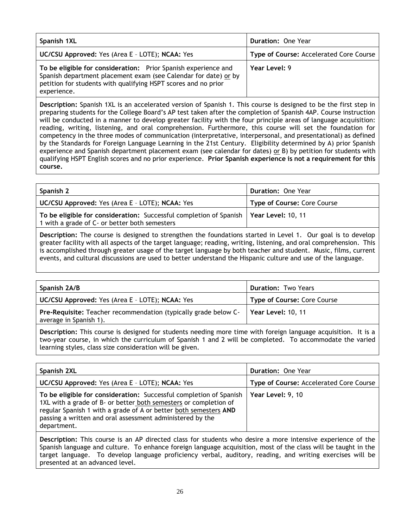| Spanish 1XL                                                                                                                                                                                                        | <b>Duration: One Year</b>               |
|--------------------------------------------------------------------------------------------------------------------------------------------------------------------------------------------------------------------|-----------------------------------------|
| UC/CSU Approved: Yes (Area E - LOTE); NCAA: Yes                                                                                                                                                                    | Type of Course: Accelerated Core Course |
| To be eligible for consideration: Prior Spanish experience and<br>Spanish department placement exam (see Calendar for date) or by<br>petition for students with qualifying HSPT scores and no prior<br>experience. | Year Level: 9                           |

**Description:** Spanish 1XL is an accelerated version of Spanish 1. This course is designed to be the first step in preparing students for the College Board's AP test taken after the completion of Spanish 4AP. Course instruction will be conducted in a manner to develop greater facility with the four principle areas of language acquisition: reading, writing, listening, and oral comprehension. Furthermore, this course will set the foundation for competency in the three modes of communication (interpretative, interpersonal, and presentational) as defined by the Standards for Foreign Language Learning in the 21st Century. Eligibility determined by A) prior Spanish experience and Spanish department placement exam (see calendar for dates) or B) by petition for students with qualifying HSPT English scores and no prior experience. **Prior Spanish experience is not a requirement for this course.**

| Spanish 2                                                                                                                                | <b>Duration: One Year</b>   |
|------------------------------------------------------------------------------------------------------------------------------------------|-----------------------------|
| UC/CSU Approved: Yes (Area E - LOTE); NCAA: Yes                                                                                          | Type of Course: Core Course |
| To be eligible for consideration: Successful completion of Spanish   Year Level: 10, 11<br>1 with a grade of C- or better both semesters |                             |
|                                                                                                                                          |                             |

**Description:** The course is designed to strengthen the foundations started in Level 1. Our goal is to develop greater facility with all aspects of the target language; reading, writing, listening, and oral comprehension. This is accomplished through greater usage of the target language by both teacher and student. Music, films, current events, and cultural discussions are used to better understand the Hispanic culture and use of the language.

| Spanish 2A/B                                                                                                   | <b>Duration: Two Years</b>  |
|----------------------------------------------------------------------------------------------------------------|-----------------------------|
| <b>UC/CSU Approved:</b> Yes (Area E - LOTE); NCAA: Yes                                                         | Type of Course: Core Course |
| Pre-Requisite: Teacher recommendation (typically grade below C-   Year Level: 10, 11<br>average in Spanish 1). |                             |
|                                                                                                                |                             |

**Description:** This course is designed for students needing more time with foreign language acquisition. It is a two-year course, in which the curriculum of Spanish 1 and 2 will be completed. To accommodate the varied learning styles, class size consideration will be given.

| Spanish 2XL                                                                                                                                                                                                                                                                            | <b>Duration: One Year</b>                      |
|----------------------------------------------------------------------------------------------------------------------------------------------------------------------------------------------------------------------------------------------------------------------------------------|------------------------------------------------|
| UC/CSU Approved: Yes (Area E - LOTE); NCAA: Yes                                                                                                                                                                                                                                        | <b>Type of Course: Accelerated Core Course</b> |
| To be eligible for consideration: Successful completion of Spanish<br>1XL with a grade of B- or better both semesters or completion of<br>regular Spanish 1 with a grade of A or better both semesters AND<br>passing a written and oral assessment administered by the<br>department. | Year Level: 9, 10                              |

**Description:** This course is an AP directed class for students who desire a more intensive experience of the Spanish language and culture. To enhance foreign language acquisition, most of the class will be taught in the target language. To develop language proficiency verbal, auditory, reading, and writing exercises will be presented at an advanced level.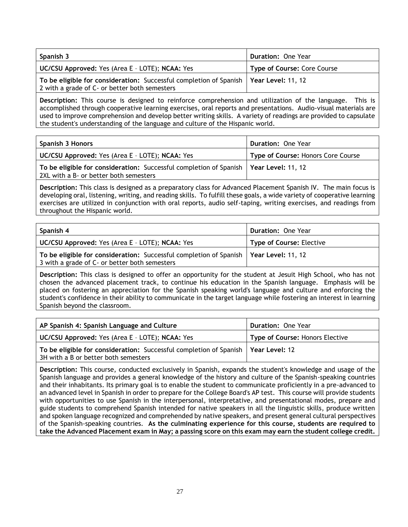| Spanish 3                                                                                                                                | <b>Duration: One Year</b>   |
|------------------------------------------------------------------------------------------------------------------------------------------|-----------------------------|
| UC/CSU Approved: Yes (Area E - LOTE); NCAA: Yes                                                                                          | Type of Course: Core Course |
| To be eligible for consideration: Successful completion of Spanish   Year Level: 11, 12<br>2 with a grade of C- or better both semesters |                             |

**Description:** This course is designed to reinforce comprehension and utilization of the language. This is accomplished through cooperative learning exercises, oral reports and presentations. Audio-visual materials are used to improve comprehension and develop better writing skills. A variety of readings are provided to capsulate the student's understanding of the language and culture of the Hispanic world.

| Spanish 3 Honors                                                                                                                  | Duration: One Year                 |
|-----------------------------------------------------------------------------------------------------------------------------------|------------------------------------|
| <b>UC/CSU Approved:</b> Yes (Area E - LOTE); NCAA: Yes                                                                            | Type of Course: Honors Core Course |
| To be eligible for consideration: Successful completion of Spanish   Year Level: 11, 12<br>2XL with a B- or better both semesters |                                    |

**Description:** This class is designed as a preparatory class for Advanced Placement Spanish IV. The main focus is developing oral, listening, writing, and reading skills. To fulfill these goals, a wide variety of cooperative learning exercises are utilized in conjunction with oral reports, audio self-taping, writing exercises, and readings from throughout the Hispanic world.

| Spanish 4                                                                                                                                | <b>Duration: One Year</b>       |
|------------------------------------------------------------------------------------------------------------------------------------------|---------------------------------|
| UC/CSU Approved: Yes (Area E - LOTE); NCAA: Yes                                                                                          | <b>Type of Course: Elective</b> |
| To be eligible for consideration: Successful completion of Spanish   Year Level: 11, 12<br>3 with a grade of C- or better both semesters |                                 |

**Description:** This class is designed to offer an opportunity for the student at Jesuit High School, who has not chosen the advanced placement track, to continue his education in the Spanish language. Emphasis will be placed on fostering an appreciation for the Spanish speaking world's language and culture and enforcing the student's confidence in their ability to communicate in the target language while fostering an interest in learning Spanish beyond the classroom.

| AP Spanish 4: Spanish Language and Culture                                                                                  | <b>Duration: One Year</b>              |
|-----------------------------------------------------------------------------------------------------------------------------|----------------------------------------|
| <b>UC/CSU Approved:</b> Yes (Area E - LOTE); NCAA: Yes                                                                      | <b>Type of Course: Honors Elective</b> |
| To be eligible for consideration: Successful completion of Spanish   Year Level: 12<br>3H with a B or better both semesters |                                        |

**Description:** This course, conducted exclusively in Spanish, expands the student's knowledge and usage of the Spanish language and provides a general knowledge of the history and culture of the Spanish-speaking countries and their inhabitants. Its primary goal is to enable the student to communicate proficiently in a pre-advanced to an advanced level in Spanish in order to prepare for the College Board's AP test. This course will provide students with opportunities to use Spanish in the interpersonal, interpretative, and presentational modes, prepare and guide students to comprehend Spanish intended for native speakers in all the linguistic skills, produce written and spoken language recognized and comprehended by native speakers, and present general cultural perspectives of the Spanish-speaking countries. **As the culminating experience for this course, students are required to take the Advanced Placement exam in May; a passing score on this exam may earn the student college credit.**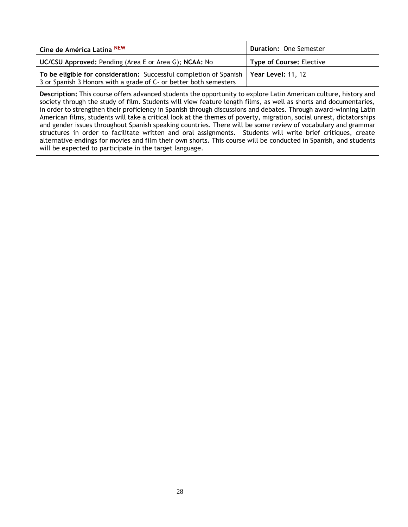| Cine de América Latina <sup>NEW</sup>                                                                                                                        | <b>Duration: One Semester</b>   |
|--------------------------------------------------------------------------------------------------------------------------------------------------------------|---------------------------------|
| <b>UC/CSU Approved: Pending (Area E or Area G); NCAA: No</b>                                                                                                 | <b>Type of Course: Elective</b> |
| To be eligible for consideration: Successful completion of Spanish   Year Level: 11, 12<br>3 or Spanish 3 Honors with a grade of C- or better both semesters |                                 |

<span id="page-27-0"></span>**Description:** This course offers advanced students the opportunity to explore Latin American culture, history and society through the study of film. Students will view feature length films, as well as shorts and documentaries, in order to strengthen their proficiency in Spanish through discussions and debates. Through award-winning Latin American films, students will take a critical look at the themes of poverty, migration, social unrest, dictatorships and gender issues throughout Spanish speaking countries. There will be some review of vocabulary and grammar structures in order to facilitate written and oral assignments. Students will write brief critiques, create alternative endings for movies and film their own shorts. This course will be conducted in Spanish, and students will be expected to participate in the target language.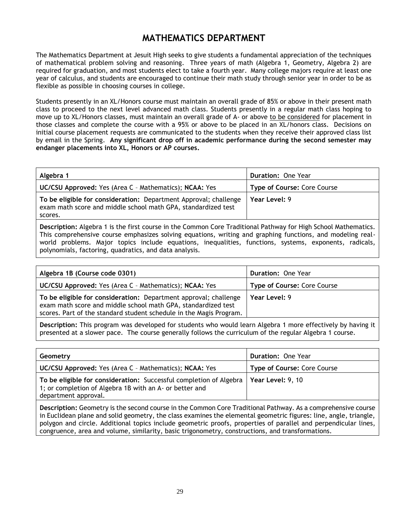## **MATHEMATICS DEPARTMENT**

The Mathematics Department at Jesuit High seeks to give students a fundamental appreciation of the techniques of mathematical problem solving and reasoning. Three years of math (Algebra 1, Geometry, Algebra 2) are required for graduation, and most students elect to take a fourth year. Many college majors require at least one year of calculus, and students are encouraged to continue their math study through senior year in order to be as flexible as possible in choosing courses in college.

Students presently in an XL/Honors course must maintain an overall grade of 85% or above in their present math class to proceed to the next level advanced math class. Students presently in a regular math class hoping to move up to XL/Honors classes, must maintain an overall grade of A- or above to be considered for placement in those classes and complete the course with a 95% or above to be placed in an XL/honors class. Decisions on initial course placement requests are communicated to the students when they receive their approved class list by email in the Spring. **Any significant drop off in academic performance during the second semester may endanger placements into XL, Honors or AP courses.**

| Algebra 1                                                                                                                                    | <b>Duration: One Year</b>          |
|----------------------------------------------------------------------------------------------------------------------------------------------|------------------------------------|
| UC/CSU Approved: Yes (Area C - Mathematics); NCAA: Yes                                                                                       | <b>Type of Course: Core Course</b> |
| To be eligible for consideration: Department Approval; challenge<br>exam math score and middle school math GPA, standardized test<br>scores. | Year Level: 9                      |

**Description:** Algebra 1 is the first course in the Common Core Traditional Pathway for High School Mathematics. This comprehensive course emphasizes solving equations, writing and graphing functions, and modeling realworld problems. Major topics include equations, inequalities, functions, systems, exponents, radicals, polynomials, factoring, quadratics, and data analysis.

| Algebra 1B (Course code 0301)                                                                                                                                                                            | <b>Duration: One Year</b>   |
|----------------------------------------------------------------------------------------------------------------------------------------------------------------------------------------------------------|-----------------------------|
| <b>UC/CSU Approved:</b> Yes (Area C - Mathematics); NCAA: Yes                                                                                                                                            | Type of Course: Core Course |
| To be eligible for consideration: Department approval; challenge<br>exam math score and middle school math GPA, standardized test<br>scores. Part of the standard student schedule in the Magis Program. | Year Level: 9               |

**Description:** This program was developed for students who would learn Algebra 1 more effectively by having it presented at a slower pace. The course generally follows the curriculum of the regular Algebra 1 course.

| Geometry                                                                                                                                                                  | Duration: One Year                 |
|---------------------------------------------------------------------------------------------------------------------------------------------------------------------------|------------------------------------|
| UC/CSU Approved: Yes (Area C - Mathematics); NCAA: Yes                                                                                                                    | <b>Type of Course: Core Course</b> |
| To be eligible for consideration: Successful completion of Algebra   Year Level: 9, 10<br>1; or completion of Algebra 1B with an A- or better and<br>department approval. |                                    |

**Description:** Geometry is the second course in the Common Core Traditional Pathway. As a comprehensive course in Euclidean plane and solid geometry, the class examines the elemental geometric figures: line, angle, triangle, polygon and circle. Additional topics include geometric proofs, properties of parallel and perpendicular lines, congruence, area and volume, similarity, basic trigonometry, constructions, and transformations.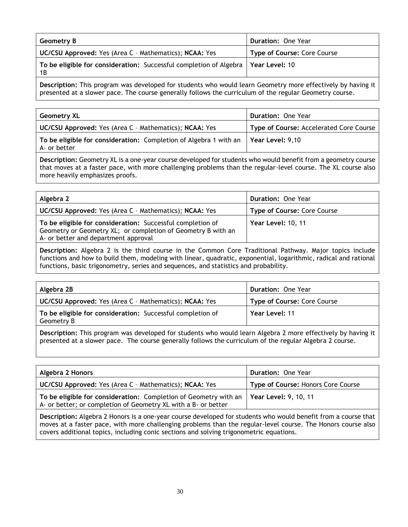| Geometry B                                                                                 | <b>Duration: One Year</b>          |
|--------------------------------------------------------------------------------------------|------------------------------------|
| <b>UC/CSU Approved:</b> Yes (Area C - Mathematics); NCAA: Yes                              | <b>Type of Course: Core Course</b> |
| To be eligible for consideration: Successful completion of Algebra   Year Level: 10<br>1 B |                                    |
|                                                                                            |                                    |

**Description:** This program was developed for students who would learn Geometry more effectively by having it presented at a slower pace. The course generally follows the curriculum of the regular Geometry course.

| Geometry XL                                                                       | Duration: One Year                      |
|-----------------------------------------------------------------------------------|-----------------------------------------|
| UC/CSU Approved: Yes (Area C - Mathematics); NCAA: Yes                            | Type of Course: Accelerated Core Course |
| To be eligible for consideration: Completion of Algebra 1 with an<br>A- or better | Year Level: 9,10                        |

**Description:** Geometry XL is a one-year course developed for students who would benefit from a geometry course that moves at a faster pace, with more challenging problems than the regular-level course. The XL course also more heavily emphasizes proofs.

| Algebra 2                                                                                                                                                          | <b>Duration: One Year</b>   |
|--------------------------------------------------------------------------------------------------------------------------------------------------------------------|-----------------------------|
| UC/CSU Approved: Yes (Area C - Mathematics); NCAA: Yes                                                                                                             | Type of Course: Core Course |
| To be eligible for consideration: Successful completion of<br>Geometry or Geometry XL; or completion of Geometry B with an<br>A- or better and department approval | <b>Year Level: 10, 11</b>   |

**Description:** Algebra 2 is the third course in the Common Core Traditional Pathway. Major topics include functions and how to build them, modeling with linear, quadratic, exponential, logarithmic, radical and rational functions, basic trigonometry, series and sequences, and statistics and probability.

| Algebra 2B                                                               | <b>Duration: One Year</b>   |
|--------------------------------------------------------------------------|-----------------------------|
| UC/CSU Approved: Yes (Area C - Mathematics); NCAA: Yes                   | Type of Course: Core Course |
| To be eligible for consideration: Successful completion of<br>Geometry B | Year Level: 11              |

**Description:** This program was developed for students who would learn Algebra 2 more effectively by having it presented at a slower pace. The course generally follows the curriculum of the regular Algebra 2 course.

| Algebra 2 Honors                                                                                                                   | Duration: One Year                 |
|------------------------------------------------------------------------------------------------------------------------------------|------------------------------------|
| UC/CSU Approved: Yes (Area C - Mathematics); NCAA: Yes                                                                             | Type of Course: Honors Core Course |
| To be eligible for consideration: Completion of Geometry with an<br>A- or better; or completion of Geometry XL with a B- or better | Year Level: 9, 10, 11              |
|                                                                                                                                    |                                    |

**Description:** Algebra 2 Honors is a one-year course developed for students who would benefit from a course that moves at a faster pace, with more challenging problems than the regular-level course. The Honors course also covers additional topics, including conic sections and solving trigonometric equations.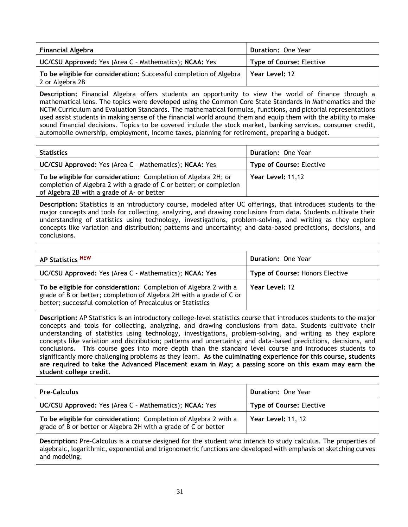| <b>Financial Algebra</b>                                                              | <b>Duration: One Year</b>       |
|---------------------------------------------------------------------------------------|---------------------------------|
| UC/CSU Approved: Yes (Area C - Mathematics); NCAA: Yes                                | <b>Type of Course: Elective</b> |
| To be eligible for consideration: Successful completion of Algebra<br>2 or Algebra 2B | Year Level: 12                  |

**Description:** Financial Algebra offers students an opportunity to view the world of finance through a mathematical lens. The topics were developed using the Common Core State Standards in Mathematics and the NCTM Curriculum and Evaluation Standards. The mathematical formulas, functions, and pictorial representations used assist students in making sense of the financial world around them and equip them with the ability to make sound financial decisions. Topics to be covered include the stock market, banking services, consumer credit, automobile ownership, employment, income taxes, planning for retirement, preparing a budget.

| <b>Statistics</b>                                                                                                                                                                  | Duration: One Year              |
|------------------------------------------------------------------------------------------------------------------------------------------------------------------------------------|---------------------------------|
| <b>UC/CSU Approved:</b> Yes (Area C - Mathematics); NCAA: Yes                                                                                                                      | <b>Type of Course: Elective</b> |
| To be eligible for consideration: Completion of Algebra 2H; or<br>completion of Algebra 2 with a grade of C or better; or completion<br>of Algebra 2B with a grade of A- or better | Year Level: 11,12               |

**Description:** Statistics is an introductory course, modeled after UC offerings, that introduces students to the major concepts and tools for collecting, analyzing, and drawing conclusions from data. Students cultivate their understanding of statistics using technology, investigations, problem-solving, and writing as they explore concepts like variation and distribution; patterns and uncertainty; and data-based predictions, decisions, and conclusions.

| AP Statistics NEW                                                                                                                                                                                     | <b>Duration: One Year</b>              |
|-------------------------------------------------------------------------------------------------------------------------------------------------------------------------------------------------------|----------------------------------------|
| UC/CSU Approved: Yes (Area C - Mathematics); NCAA: Yes                                                                                                                                                | <b>Type of Course: Honors Elective</b> |
| To be eligible for consideration: Completion of Algebra 2 with a<br>grade of B or better; completion of Algebra 2H with a grade of C or<br>better; successful completion of Precalculus or Statistics | Year Level: 12                         |

**Description:** AP Statistics is an introductory college-level statistics course that introduces students to the major concepts and tools for collecting, analyzing, and drawing conclusions from data. Students cultivate their understanding of statistics using technology, investigations, problem-solving, and writing as they explore concepts like variation and distribution; patterns and uncertainty; and data-based predictions, decisions, and conclusions. This course goes into more depth than the standard level course and introduces students to significantly more challenging problems as they learn. **As the culminating experience for this course, students are required to take the Advanced Placement exam in May; a passing score on this exam may earn the student college credit.**

| <b>Pre-Calculus</b>                                                                                                                | <b>Duration: One Year</b>       |
|------------------------------------------------------------------------------------------------------------------------------------|---------------------------------|
| <b>UC/CSU Approved:</b> Yes (Area C - Mathematics); NCAA: Yes                                                                      | <b>Type of Course: Elective</b> |
| To be eligible for consideration: Completion of Algebra 2 with a<br>grade of B or better or Algebra 2H with a grade of C or better | Year Level: 11, 12              |

**Description:** Pre-Calculus is a course designed for the student who intends to study calculus. The properties of algebraic, logarithmic, exponential and trigonometric functions are developed with emphasis on sketching curves and modeling.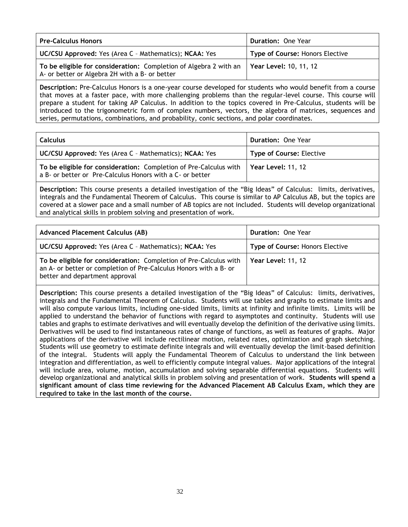| <b>Pre-Calculus Honors</b>                                                                                          | Duration: One Year                     |
|---------------------------------------------------------------------------------------------------------------------|----------------------------------------|
| UC/CSU Approved: Yes (Area C - Mathematics); NCAA: Yes                                                              | <b>Type of Course: Honors Elective</b> |
| To be eligible for consideration: Completion of Algebra 2 with an<br>A- or better or Algebra 2H with a B- or better | Year Level: 10, 11, 12                 |

**Description:** Pre-Calculus Honors is a one-year course developed for students who would benefit from a course that moves at a faster pace, with more challenging problems than the regular-level course. This course will prepare a student for taking AP Calculus. In addition to the topics covered in Pre-Calculus, students will be introduced to the trigonometric form of complex numbers, vectors, the algebra of matrices, sequences and series, permutations, combinations, and probability, conic sections, and polar coordinates.

| <b>Calculus</b>                                                                                                                | Duration: One Year              |
|--------------------------------------------------------------------------------------------------------------------------------|---------------------------------|
| UC/CSU Approved: Yes (Area C - Mathematics); NCAA: Yes                                                                         | <b>Type of Course: Elective</b> |
| To be eligible for consideration: Completion of Pre-Calculus with<br>a B- or better or Pre-Calculus Honors with a C- or better | <b>Year Level: 11, 12</b>       |

**Description:** This course presents a detailed investigation of the "Big Ideas" of Calculus: limits, derivatives, integrals and the Fundamental Theorem of Calculus. This course is similar to AP Calculus AB, but the topics are covered at a slower pace and a small number of AB topics are not included. Students will develop organizational and analytical skills in problem solving and presentation of work.

| <b>Advanced Placement Calculus (AB)</b>                                                                                                                                  | <b>Duration: One Year</b>              |
|--------------------------------------------------------------------------------------------------------------------------------------------------------------------------|----------------------------------------|
| <b>UC/CSU Approved:</b> Yes (Area C - Mathematics); NCAA: Yes                                                                                                            | <b>Type of Course: Honors Elective</b> |
| To be eligible for consideration: Completion of Pre-Calculus with<br>an A- or better or completion of Pre-Calculus Honors with a B- or<br>better and department approval | <b>Year Level: 11, 12</b>              |

**Description:** This course presents a detailed investigation of the "Big Ideas" of Calculus: limits, derivatives, integrals and the Fundamental Theorem of Calculus. Students will use tables and graphs to estimate limits and will also compute various limits, including one-sided limits, limits at infinity and infinite limits. Limits will be applied to understand the behavior of functions with regard to asymptotes and continuity. Students will use tables and graphs to estimate derivatives and will eventually develop the definition of the derivative using limits. Derivatives will be used to find instantaneous rates of change of functions, as well as features of graphs. Major applications of the derivative will include rectilinear motion, related rates, optimization and graph sketching. Students will use geometry to estimate definite integrals and will eventually develop the limit-based definition of the integral. Students will apply the Fundamental Theorem of Calculus to understand the link between integration and differentiation, as well to efficiently compute integral values. Major applications of the integral will include area, volume, motion, accumulation and solving separable differential equations. Students will develop organizational and analytical skills in problem solving and presentation of work. **Students will spend a significant amount of class time reviewing for the Advanced Placement AB Calculus Exam, which they are required to take in the last month of the course.**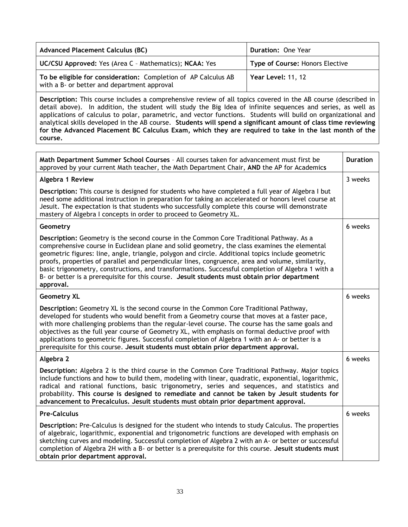| <b>Advanced Placement Calculus (BC)</b>                                                                       | Duration: One Year              |
|---------------------------------------------------------------------------------------------------------------|---------------------------------|
| UC/CSU Approved: Yes (Area C - Mathematics); NCAA: Yes                                                        | Type of Course: Honors Elective |
| To be eligible for consideration: Completion of AP Calculus AB<br>with a B- or better and department approval | Year Level: 11, 12              |

**Description:** This course includes a comprehensive review of all topics covered in the AB course (described in detail above). In addition, the student will study the Big Idea of infinite sequences and series, as well as applications of calculus to polar, parametric, and vector functions. Students will build on organizational and analytical skills developed in the AB course. **Students will spend a significant amount of class time reviewing for the Advanced Placement BC Calculus Exam, which they are required to take in the last month of the course.**

| Math Department Summer School Courses - All courses taken for advancement must first be<br>approved by your current Math teacher, the Math Department Chair, AND the AP for Academics                                                                                                                                                                                                                                                                                                                                                                                                                              | <b>Duration</b> |
|--------------------------------------------------------------------------------------------------------------------------------------------------------------------------------------------------------------------------------------------------------------------------------------------------------------------------------------------------------------------------------------------------------------------------------------------------------------------------------------------------------------------------------------------------------------------------------------------------------------------|-----------------|
| Algebra 1 Review                                                                                                                                                                                                                                                                                                                                                                                                                                                                                                                                                                                                   | 3 weeks         |
| Description: This course is designed for students who have completed a full year of Algebra I but<br>need some additional instruction in preparation for taking an accelerated or honors level course at<br>Jesuit. The expectation is that students who successfully complete this course will demonstrate<br>mastery of Algebra I concepts in order to proceed to Geometry XL.                                                                                                                                                                                                                                   |                 |
| Geometry                                                                                                                                                                                                                                                                                                                                                                                                                                                                                                                                                                                                           | 6 weeks         |
| Description: Geometry is the second course in the Common Core Traditional Pathway. As a<br>comprehensive course in Euclidean plane and solid geometry, the class examines the elemental<br>geometric figures: line, angle, triangle, polygon and circle. Additional topics include geometric<br>proofs, properties of parallel and perpendicular lines, congruence, area and volume, similarity,<br>basic trigonometry, constructions, and transformations. Successful completion of Algebra 1 with a<br>B- or better is a prerequisite for this course. Jesuit students must obtain prior department<br>approval. |                 |
| <b>Geometry XL</b>                                                                                                                                                                                                                                                                                                                                                                                                                                                                                                                                                                                                 | 6 weeks         |
| Description: Geometry XL is the second course in the Common Core Traditional Pathway,<br>developed for students who would benefit from a Geometry course that moves at a faster pace,<br>with more challenging problems than the regular-level course. The course has the same goals and<br>objectives as the full year course of Geometry XL, with emphasis on formal deductive proof with<br>applications to geometric figures. Successful completion of Algebra 1 with an A- or better is a<br>prerequisite for this course. Jesuit students must obtain prior department approval.                             |                 |
| Algebra 2                                                                                                                                                                                                                                                                                                                                                                                                                                                                                                                                                                                                          | 6 weeks         |
| Description: Algebra 2 is the third course in the Common Core Traditional Pathway. Major topics<br>include functions and how to build them, modeling with linear, quadratic, exponential, logarithmic,<br>radical and rational functions, basic trigonometry, series and sequences, and statistics and<br>probability. This course is designed to remediate and cannot be taken by Jesuit students for<br>advancement to Precalculus. Jesuit students must obtain prior department approval.                                                                                                                       |                 |
| <b>Pre-Calculus</b>                                                                                                                                                                                                                                                                                                                                                                                                                                                                                                                                                                                                | 6 weeks         |
| Description: Pre-Calculus is designed for the student who intends to study Calculus. The properties<br>of algebraic, logarithmic, exponential and trigonometric functions are developed with emphasis on<br>sketching curves and modeling. Successful completion of Algebra 2 with an A- or better or successful<br>completion of Algebra 2H with a B- or better is a prerequisite for this course. Jesuit students must<br>obtain prior department approval.                                                                                                                                                      |                 |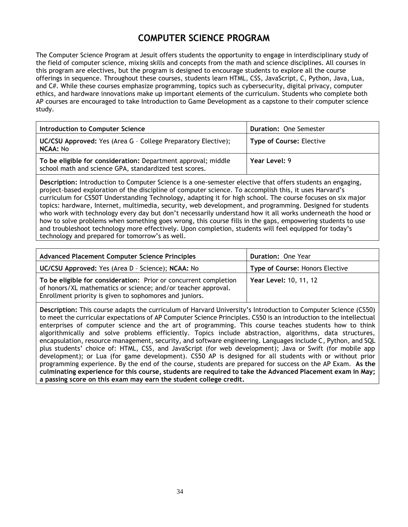## **COMPUTER SCIENCE PROGRAM**

The Computer Science Program at Jesuit offers students the opportunity to engage in interdisciplinary study of the field of computer science, mixing skills and concepts from the math and science disciplines. All courses in this program are electives, but the program is designed to encourage students to explore all the course offerings in sequence. Throughout these courses, students learn HTML, CSS, JavaScript, C, Python, Java, Lua, and C#. While these courses emphasize programming, topics such as cybersecurity, digital privacy, computer ethics, and hardware innovations make up important elements of the curriculum. Students who complete both AP courses are encouraged to take Introduction to Game Development as a capstone to their computer science study.

| Introduction to Computer Science                                                                                        | <b>Duration: One Semester</b>   |
|-------------------------------------------------------------------------------------------------------------------------|---------------------------------|
| UC/CSU Approved: Yes (Area G - College Preparatory Elective);<br><b>NCAA: No</b>                                        | <b>Type of Course: Elective</b> |
| To be eligible for consideration: Department approval; middle<br>school math and science GPA, standardized test scores. | Year Level: 9                   |

**Description:** Introduction to Computer Science is a one-semester elective that offers students an engaging, project-based exploration of the discipline of computer science. To accomplish this, it uses Harvard's curriculum for CS50T Understanding Technology, adapting it for high school. The course focuses on six major topics: hardware, Internet, multimedia, security, web development, and programming. Designed for students who work with technology every day but don't necessarily understand how it all works underneath the hood or how to solve problems when something goes wrong, this course fills in the gaps, empowering students to use and troubleshoot technology more effectively. Upon completion, students will feel equipped for today's technology and prepared for tomorrow's as well.

| <b>Advanced Placement Computer Science Principles</b>                                                                                                                                        | Duration: One Year              |
|----------------------------------------------------------------------------------------------------------------------------------------------------------------------------------------------|---------------------------------|
| UC/CSU Approved: Yes (Area D - Science); NCAA: No                                                                                                                                            | Type of Course: Honors Elective |
| To be eligible for consideration: Prior or concurrent completion<br>of honors/XL mathematics or science; and/or teacher approval.<br>Enrollment priority is given to sophomores and juniors. | Year Level: 10, 11, 12          |

**Description:** This course adapts the curriculum of Harvard University's Introduction to Computer Science (CS50) to meet the curricular expectations of AP Computer Science Principles. CS50 is an introduction to the intellectual enterprises of computer science and the art of programming. This course teaches students how to think algorithmically and solve problems efficiently. Topics include abstraction, algorithms, data structures, encapsulation, resource management, security, and software engineering. Languages include C, Python, and SQL plus students' choice of: HTML, CSS, and JavaScript (for web development); Java or Swift (for mobile app development); or Lua (for game development). CS50 AP is designed for all students with or without prior programming experience. By the end of the course, students are prepared for success on the AP Exam. **As the culminating experience for this course, students are required to take the Advanced Placement exam in May; a passing score on this exam may earn the student college credit.**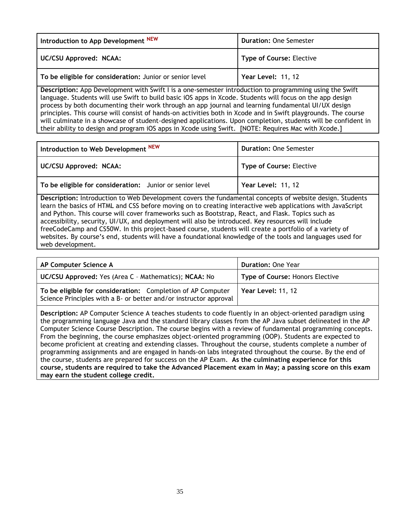| Introduction to App Development NEW                      | <b>Duration: One Semester</b>   |
|----------------------------------------------------------|---------------------------------|
| <b>UC/CSU Approved: NCAA:</b>                            | <b>Type of Course: Elective</b> |
| To be eligible for consideration: Junior or senior level | Year Level: 11, 12              |

**Description:** App Development with Swift I is a one-semester introduction to programming using the Swift language. Students will use Swift to build basic iOS apps in Xcode. Students will focus on the app design process by both documenting their work through an app journal and learning fundamental UI/UX design principles. This course will consist of hands-on activities both in Xcode and in Swift playgrounds. The course will culminate in a showcase of student-designed applications. Upon completion, students will be confident in their ability to design and program iOS apps in Xcode using Swift. [NOTE: Requires Mac with Xcode.]

| Introduction to Web Development NEW                      | <b>Duration: One Semester</b>   |
|----------------------------------------------------------|---------------------------------|
| UC/CSU Approved: NCAA:                                   | <b>Type of Course: Elective</b> |
| To be eligible for consideration: Junior or senior level | <b>Year Level: 11, 12</b>       |

**Description:** Introduction to Web Development covers the fundamental concepts of website design. Students learn the basics of HTML and CSS before moving on to creating interactive web applications with JavaScript and Python. This course will cover frameworks such as Bootstrap, React, and Flask. Topics such as accessibility, security, UI/UX, and deployment will also be introduced. Key resources will include freeCodeCamp and CS50W. In this project-based course, students will create a portfolio of a variety of websites. By course's end, students will have a foundational knowledge of the tools and languages used for web development.

| AP Computer Science A                                                                                                            | <b>Duration: One Year</b>       |
|----------------------------------------------------------------------------------------------------------------------------------|---------------------------------|
| UC/CSU Approved: Yes (Area C - Mathematics); NCAA: No                                                                            | Type of Course: Honors Elective |
| To be eligible for consideration: Completion of AP Computer<br>Science Principles with a B- or better and/or instructor approval | <b>Year Level: 11, 12</b>       |

**Description:** AP Computer Science A teaches students to code fluently in an object-oriented paradigm using the programming language Java and the standard library classes from the AP Java subset delineated in the AP Computer Science Course Description. The course begins with a review of fundamental programming concepts. From the beginning, the course emphasizes object-oriented programming (OOP). Students are expected to become proficient at creating and extending classes. Throughout the course, students complete a number of programming assignments and are engaged in hands-on labs integrated throughout the course. By the end of the course, students are prepared for success on the AP Exam. **As the culminating experience for this course, students are required to take the Advanced Placement exam in May; a passing score on this exam may earn the student college credit.**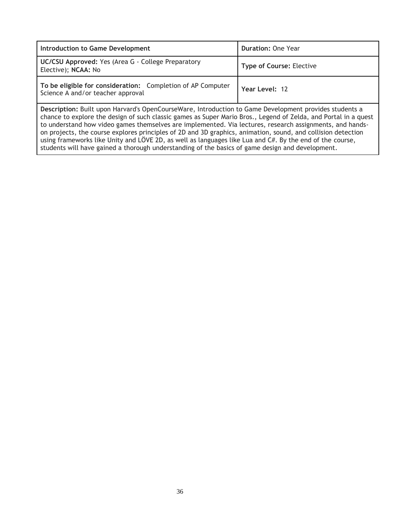| Introduction to Game Development                                                                 | <b>Duration: One Year</b>       |
|--------------------------------------------------------------------------------------------------|---------------------------------|
| UC/CSU Approved: Yes (Area G - College Preparatory<br>Elective); NCAA: No                        | <b>Type of Course: Elective</b> |
| To be eligible for consideration: Completion of AP Computer<br>Science A and/or teacher approval | Year Level: 12                  |

**Description:** Built upon Harvard's OpenCourseWare, Introduction to Game Development provides students a chance to explore the design of such classic games as Super Mario Bros., Legend of Zelda, and Portal in a quest to understand how video games themselves are implemented. Via lectures, research assignments, and handson projects, the course explores principles of 2D and 3D graphics, animation, sound, and collision detection using frameworks like Unity and LÖVE 2D, as well as languages like Lua and C#. By the end of the course, students will have gained a thorough understanding of the basics of game design and development.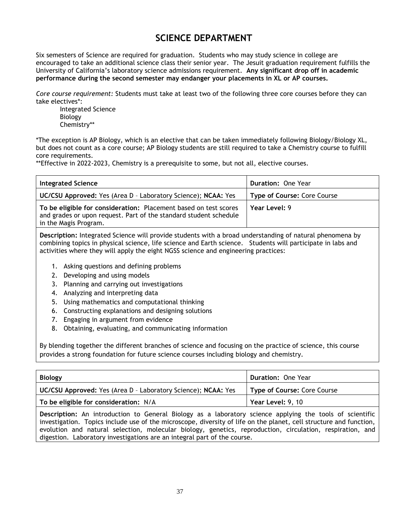## **SCIENCE DEPARTMENT**

Six semesters of Science are required for graduation. Students who may study science in college are encouraged to take an additional science class their senior year. The Jesuit graduation requirement fulfills the University of California's laboratory science admissions requirement. **Any significant drop off in academic performance during the second semester may endanger your placements in XL or AP courses.**

*Core course requirement:* Students must take at least two of the following three core courses before they can take electives\*:

Integrated Science Biology Chemistry\*\*

\*The exception is AP Biology, which is an elective that can be taken immediately following Biology/Biology XL, but does not count as a core course; AP Biology students are still required to take a Chemistry course to fulfill core requirements.

\*\*Effective in 2022-2023, Chemistry is a prerequisite to some, but not all, elective courses.

| Integrated Science                                                                                                                                             | <b>Duration: One Year</b>   |
|----------------------------------------------------------------------------------------------------------------------------------------------------------------|-----------------------------|
| UC/CSU Approved: Yes (Area D - Laboratory Science); NCAA: Yes                                                                                                  | Type of Course: Core Course |
| To be eligible for consideration: Placement based on test scores<br>and grades or upon request. Part of the standard student schedule<br>in the Magis Program. | Year Level: 9               |

**Description:** Integrated Science will provide students with a broad understanding of natural phenomena by combining topics in physical science, life science and Earth science. Students will participate in labs and activities where they will apply the eight NGSS science and engineering practices:

- 1. Asking questions and defining problems
- 2. Developing and using models
- 3. Planning and carrying out investigations
- 4. Analyzing and interpreting data
- 5. Using mathematics and computational thinking
- 6. Constructing explanations and designing solutions
- 7. Engaging in argument from evidence
- 8. Obtaining, evaluating, and communicating information

By blending together the different branches of science and focusing on the practice of science, this course provides a strong foundation for future science courses including biology and chemistry.

| <b>Biology</b>                                                | <b>Duration: One Year</b>          |
|---------------------------------------------------------------|------------------------------------|
| UC/CSU Approved: Yes (Area D - Laboratory Science); NCAA: Yes | <b>Type of Course: Core Course</b> |
| To be eligible for consideration: N/A                         | Year Level: 9, 10                  |
|                                                               |                                    |

**Description:** An introduction to General Biology as a laboratory science applying the tools of scientific investigation. Topics include use of the microscope, diversity of life on the planet, cell structure and function, evolution and natural selection, molecular biology, genetics, reproduction, circulation, respiration, and digestion. Laboratory investigations are an integral part of the course.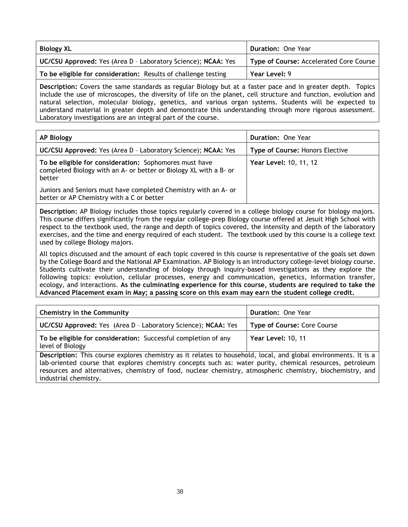| <b>Biology XL</b>                                                    | Duration: One Year                      |
|----------------------------------------------------------------------|-----------------------------------------|
| <b>UC/CSU Approved:</b> Yes (Area D - Laboratory Science); NCAA: Yes | Type of Course: Accelerated Core Course |
| To be eligible for consideration: Results of challenge testing       | Year Level: 9                           |

**Description:** Covers the same standards as regular Biology but at a faster pace and in greater depth. Topics include the use of microscopes, the diversity of life on the planet, cell structure and function, evolution and natural selection, molecular biology, genetics, and various organ systems. Students will be expected to understand material in greater depth and demonstrate this understanding through more rigorous assessment. Laboratory investigations are an integral part of the course.

| <b>AP Biology</b>                                                                                                                     | <b>Duration: One Year</b>              |
|---------------------------------------------------------------------------------------------------------------------------------------|----------------------------------------|
| UC/CSU Approved: Yes (Area D - Laboratory Science); NCAA: Yes                                                                         | <b>Type of Course: Honors Elective</b> |
| To be eligible for consideration: Sophomores must have<br>completed Biology with an A- or better or Biology XL with a B- or<br>better | <b>Year Level: 10, 11, 12</b>          |
| Juniors and Seniors must have completed Chemistry with an A- or<br>better or AP Chemistry with a C or better                          |                                        |

**Description:** AP Biology includes those topics regularly covered in a college biology course for biology majors. This course differs significantly from the regular college-prep Biology course offered at Jesuit High School with respect to the textbook used, the range and depth of topics covered, the intensity and depth of the laboratory exercises, and the time and energy required of each student. The textbook used by this course is a college text used by college Biology majors.

All topics discussed and the amount of each topic covered in this course is representative of the goals set down by the College Board and the National AP Examination. AP Biology is an introductory college-level biology course. Students cultivate their understanding of biology through inquiry-based investigations as they explore the following topics: evolution, cellular processes, energy and communication, genetics, information transfer, ecology, and interactions. **As the culminating experience for this course, students are required to take the Advanced Placement exam in May; a passing score on this exam may earn the student college credit.**

| <b>Chemistry in the Community</b>                                                                                     | Duration: One Year                 |
|-----------------------------------------------------------------------------------------------------------------------|------------------------------------|
| <b>UC/CSU Approved:</b> Yes (Area D - Laboratory Science); NCAA: Yes                                                  | <b>Type of Course: Core Course</b> |
| To be eligible for consideration: Successful completion of any<br>level of Biology                                    | Year Level: 10, 11                 |
| <b>Description:</b> This course evplores chemistry as it relates to bousehold local, and global environments, It is a |                                    |

explores chemistry as it relates to household, local, and global environments. **I** lab-oriented course that explores chemistry concepts such as: water purity, chemical resources, petroleum resources and alternatives, chemistry of food, nuclear chemistry, atmospheric chemistry, biochemistry, and industrial chemistry.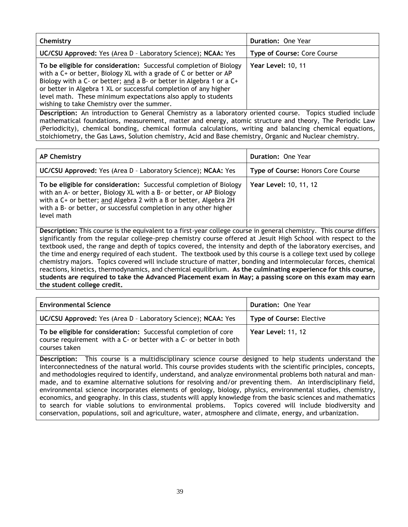| Chemistry                                                                                                                                                                                                                                                                                                                                                                                          | Duration: One Year          |
|----------------------------------------------------------------------------------------------------------------------------------------------------------------------------------------------------------------------------------------------------------------------------------------------------------------------------------------------------------------------------------------------------|-----------------------------|
| UC/CSU Approved: Yes (Area D - Laboratory Science); NCAA: Yes                                                                                                                                                                                                                                                                                                                                      | Type of Course: Core Course |
| To be eligible for consideration: Successful completion of Biology<br>with a C+ or better, Biology XL with a grade of C or better or AP<br>Biology with a C- or better; and a B- or better in Algebra 1 or a C+<br>or better in Algebra 1 XL or successful completion of any higher<br>level math. These minimum expectations also apply to students<br>wishing to take Chemistry over the summer. | Year Level: 10, 11          |
| Description: An introduction to General Chemistry as a laboratory oriented course. Topics studied include                                                                                                                                                                                                                                                                                          |                             |

**Description:** An introduction to General Chemistry as a laboratory oriented course. Topics studied include mathematical foundations, measurement, matter and energy, atomic structure and theory, The Periodic Law (Periodicity), chemical bonding, chemical formula calculations, writing and balancing chemical equations, stoichiometry, the Gas Laws, Solution chemistry, Acid and Base chemistry, Organic and Nuclear chemistry.

| <b>AP Chemistry</b>                                                                                                                                                                                                                                                                               | Duration: One Year                 |
|---------------------------------------------------------------------------------------------------------------------------------------------------------------------------------------------------------------------------------------------------------------------------------------------------|------------------------------------|
| <b>UC/CSU Approved:</b> Yes (Area D - Laboratory Science); NCAA: Yes                                                                                                                                                                                                                              | Type of Course: Honors Core Course |
| To be eligible for consideration: Successful completion of Biology<br>with an A- or better, Biology XL with a B- or better, or AP Biology<br>with a C+ or better; and Algebra 2 with a B or better, Algebra 2H<br>with a B- or better, or successful completion in any other higher<br>level math | Year Level: 10, 11, 12             |

**Description:** This course is the equivalent to a first-year college course in general chemistry. This course differs significantly from the regular college-prep chemistry course offered at Jesuit High School with respect to the textbook used, the range and depth of topics covered, the intensity and depth of the laboratory exercises, and the time and energy required of each student. The textbook used by this course is a college text used by college chemistry majors. Topics covered will include structure of matter, bonding and intermolecular forces, chemical reactions, kinetics, thermodynamics, and chemical equilibrium. **As the culminating experience for this course, students are required to take the Advanced Placement exam in May; a passing score on this exam may earn the student college credit.**

| <b>Environmental Science</b>                                                                                                                           | <b>Duration: One Year</b>       |
|--------------------------------------------------------------------------------------------------------------------------------------------------------|---------------------------------|
| <b>UC/CSU Approved:</b> Yes (Area D - Laboratory Science); NCAA: Yes                                                                                   | <b>Type of Course: Elective</b> |
| To be eligible for consideration: Successful completion of core<br>course requirement with a C- or better with a C- or better in both<br>courses taken | Year Level: 11, 12              |

**Description:** This course is a multidisciplinary science course designed to help students understand the interconnectedness of the natural world. This course provides students with the scientific principles, concepts, and methodologies required to identify, understand, and analyze environmental problems both natural and manmade, and to examine alternative solutions for resolving and/or preventing them. An interdisciplinary field, environmental science incorporates elements of geology, biology, physics, environmental studies, chemistry, economics, and geography. In this class, students will apply knowledge from the basic sciences and mathematics to search for viable solutions to environmental problems. Topics covered will include biodiversity and conservation, populations, soil and agriculture, water, atmosphere and climate, energy, and urbanization.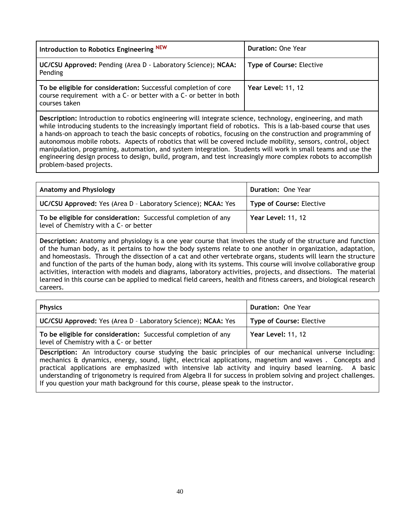| Introduction to Robotics Engineering NEW                                                                                                               | <b>Duration: One Year</b>       |
|--------------------------------------------------------------------------------------------------------------------------------------------------------|---------------------------------|
| UC/CSU Approved: Pending (Area D - Laboratory Science); NCAA:<br>Pending                                                                               | <b>Type of Course: Elective</b> |
| To be eligible for consideration: Successful completion of core<br>course requirement with a C- or better with a C- or better in both<br>courses taken | <b>Year Level: 11, 12</b>       |

**Description:** Introduction to robotics engineering will integrate science, technology, engineering, and math while introducing students to the increasingly important field of robotics. This is a lab-based course that uses a hands-on approach to teach the basic concepts of robotics, focusing on the construction and programming of autonomous mobile robots. Aspects of robotics that will be covered include mobility, sensors, control, object manipulation, programing, automation, and system integration. Students will work in small teams and use the engineering design process to design, build, program, and test increasingly more complex robots to accomplish problem-based projects.

| <b>Anatomy and Physiology</b>                                                                            | <b>Duration: One Year</b>       |
|----------------------------------------------------------------------------------------------------------|---------------------------------|
| UC/CSU Approved: Yes (Area D - Laboratory Science); NCAA: Yes                                            | <b>Type of Course: Elective</b> |
| To be eligible for consideration: Successful completion of any<br>level of Chemistry with a C- or better | Year Level: 11, 12              |

**Description:** Anatomy and physiology is a one year course that involves the study of the structure and function of the human body, as it pertains to how the body systems relate to one another in organization, adaptation, and homeostasis. Through the dissection of a cat and other vertebrate organs, students will learn the structure and function of the parts of the human body, along with its systems. This course will involve collaborative group activities, interaction with models and diagrams, laboratory activities, projects, and dissections. The material learned in this course can be applied to medical field careers, health and fitness careers, and biological research careers.

| <b>Physics</b>                                                                                           | Duration: One Year              |
|----------------------------------------------------------------------------------------------------------|---------------------------------|
| <b>UC/CSU Approved:</b> Yes (Area D - Laboratory Science); NCAA: Yes                                     | <b>Type of Course: Elective</b> |
| To be eligible for consideration: Successful completion of any<br>level of Chemistry with a C- or better | Year Level: 11, 12              |
|                                                                                                          |                                 |

**Description:** An introductory course studying the basic principles of our mechanical universe including: mechanics & dynamics, energy, sound, light, electrical applications, magnetism and waves . Concepts and practical applications are emphasized with intensive lab activity and inquiry based learning. A basic understanding of trigonometry is required from Algebra II for success in problem solving and project challenges. If you question your math background for this course, please speak to the instructor.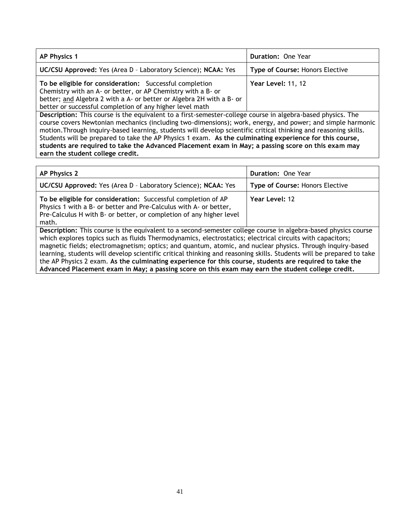| <b>AP Physics 1</b>                                                                                                                                                                                                                                         | <b>Duration: One Year</b>       |
|-------------------------------------------------------------------------------------------------------------------------------------------------------------------------------------------------------------------------------------------------------------|---------------------------------|
| UC/CSU Approved: Yes (Area D - Laboratory Science); NCAA: Yes                                                                                                                                                                                               | Type of Course: Honors Elective |
| To be eligible for consideration: Successful completion<br>Chemistry with an A- or better, or AP Chemistry with a B- or<br>better; and Algebra 2 with a A- or better or Algebra 2H with a B- or<br>better or successful completion of any higher level math | Year Level: 11, 12              |
| Description: This course is the equivalent to a first-semester-college course in algebra-based physics. The                                                                                                                                                 |                                 |
| course covers Newtonian mechanics (including two-dimensions); work energy and newer; and simple barmonic                                                                                                                                                    |                                 |

course covers Newtonian mechanics (including two-dimensions); work, energy, and power; and simple harmonic motion.Through inquiry-based learning, students will develop scientific critical thinking and reasoning skills. Students will be prepared to take the AP Physics 1 exam. **As the culminating experience for this course, students are required to take the Advanced Placement exam in May; a passing score on this exam may earn the student college credit.**

<span id="page-40-0"></span>

| <b>AP Physics 2</b>                                                                                                                                                                                                                                                                                                                                                                                                                                                                                                                                                                                                                                                               | Duration: One Year              |
|-----------------------------------------------------------------------------------------------------------------------------------------------------------------------------------------------------------------------------------------------------------------------------------------------------------------------------------------------------------------------------------------------------------------------------------------------------------------------------------------------------------------------------------------------------------------------------------------------------------------------------------------------------------------------------------|---------------------------------|
| UC/CSU Approved: Yes (Area D - Laboratory Science); NCAA: Yes                                                                                                                                                                                                                                                                                                                                                                                                                                                                                                                                                                                                                     | Type of Course: Honors Elective |
| To be eligible for consideration: Successful completion of AP<br>Physics 1 with a B- or better and Pre-Calculus with A- or better,<br>Pre-Calculus H with B- or better, or completion of any higher level<br>math.                                                                                                                                                                                                                                                                                                                                                                                                                                                                | Year Level: 12                  |
| Description: This course is the equivalent to a second-semester college course in algebra-based physics course<br>which explores topics such as fluids Thermodynamics, electrostatics; electrical circuits with capacitors;<br>magnetic fields; electromagnetism; optics; and quantum, atomic, and nuclear physics. Through inquiry-based<br>learning, students will develop scientific critical thinking and reasoning skills. Students will be prepared to take<br>the AP Physics 2 exam. As the culminating experience for this course, students are required to take the<br>Advanced Placement exam in May; a passing score on this exam may earn the student college credit. |                                 |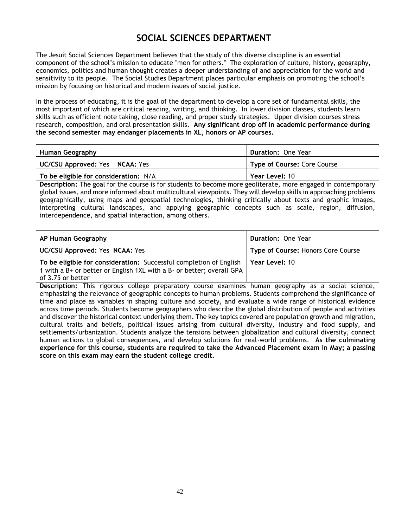## **SOCIAL SCIENCES DEPARTMENT**

The Jesuit Social Sciences Department believes that the study of this diverse discipline is an essential component of the school's mission to educate "men for others." The exploration of culture, history, geography, economics, politics and human thought creates a deeper understanding of and appreciation for the world and sensitivity to its people. The Social Studies Department places particular emphasis on promoting the school's mission by focusing on historical and modern issues of social justice.

In the process of educating, it is the goal of the department to develop a core set of fundamental skills, the most important of which are critical reading, writing, and thinking. In lower division classes, students learn skills such as efficient note taking, close reading, and proper study strategies. Upper division courses stress research, composition, and oral presentation skills. **Any significant drop off in academic performance during the second semester may endanger placements in XL, honors or AP courses.**

| Human Geography                       | <b>Duration: One Year</b>          |
|---------------------------------------|------------------------------------|
| UC/CSU Approved: Yes NCAA: Yes        | <b>Type of Course: Core Course</b> |
| To be eligible for consideration: N/A | Year Level: 10                     |

**Description:** The goal for the course is for students to become more geoliterate, more engaged in contemporary global issues, and more informed about multicultural viewpoints. They will develop skills in approaching problems geographically, using maps and geospatial technologies, thinking critically about texts and graphic images, interpreting cultural landscapes, and applying geographic concepts such as scale, region, diffusion, interdependence, and spatial interaction, among others.

| AP Human Geography                                                                                                                                                                                                                                                                                                                                                                                                                                                                                                                                                       | <b>Duration: One Year</b>          |
|--------------------------------------------------------------------------------------------------------------------------------------------------------------------------------------------------------------------------------------------------------------------------------------------------------------------------------------------------------------------------------------------------------------------------------------------------------------------------------------------------------------------------------------------------------------------------|------------------------------------|
| UC/CSU Approved: Yes NCAA: Yes                                                                                                                                                                                                                                                                                                                                                                                                                                                                                                                                           | Type of Course: Honors Core Course |
| To be eligible for consideration: Successful completion of English<br>1 with a B+ or better or English 1XL with a B- or better; overall GPA<br>of 3.75 or better                                                                                                                                                                                                                                                                                                                                                                                                         | Year Level: 10                     |
| Description: This rigorous college preparatory course examines human geography as a social science,<br>emphasizing the relevance of geographic concepts to human problems. Students comprehend the significance of<br>time and place as variables in shaping culture and society, and evaluate a wide range of historical evidence<br>across time periods. Students become geographers who describe the global distribution of people and activities<br>and discover the historical context underlying them. The key topics covered are population growth and migration, |                                    |

cultural traits and beliefs, political issues arising from cultural diversity, industry and food supply, and settlements/urbanization. Students analyze the tensions between globalization and cultural diversity, connect human actions to global consequences, and develop solutions for real-world problems. **As the culminating experience for this course, students are required to take the Advanced Placement exam in May; a passing score on this exam may earn the student college credit.**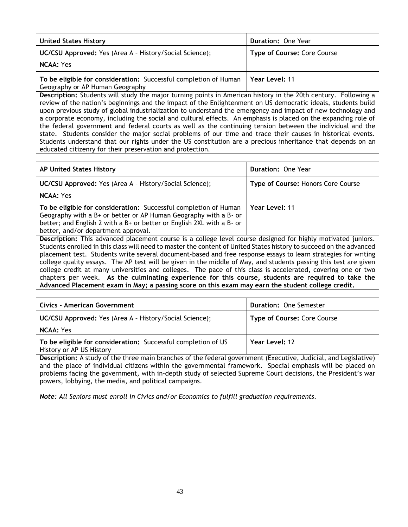| <b>United States History</b>                                                                        | <b>Duration: One Year</b>          |
|-----------------------------------------------------------------------------------------------------|------------------------------------|
| <b>UC/CSU Approved:</b> Yes (Area A - History/Social Science);                                      | <b>Type of Course: Core Course</b> |
| <b>NCAA: Yes</b>                                                                                    |                                    |
| To be eligible for consideration: Successful completion of Human<br>Geography or AP Human Geography | Year Level: 11                     |

**Description:** Students will study the major turning points in American history in the 20th century. Following a review of the nation's beginnings and the impact of the Enlightenment on US democratic ideals, students build upon previous study of global industrialization to understand the emergency and impact of new technology and a corporate economy, including the social and cultural effects. An emphasis is placed on the expanding role of the federal government and federal courts as well as the continuing tension between the individual and the state. Students consider the major social problems of our time and trace their causes in historical events. Students understand that our rights under the US constitution are a precious inheritance that depends on an educated citizenry for their preservation and protection.

| <b>AP United States History</b>                                                                                                                                                                                                                      | <b>Duration: One Year</b>          |
|------------------------------------------------------------------------------------------------------------------------------------------------------------------------------------------------------------------------------------------------------|------------------------------------|
| <b>UC/CSU Approved:</b> Yes (Area A - History/Social Science);                                                                                                                                                                                       | Type of Course: Honors Core Course |
| <b>NCAA: Yes</b>                                                                                                                                                                                                                                     |                                    |
| To be eligible for consideration: Successful completion of Human<br>Geography with a B+ or better or AP Human Geography with a B- or<br>better; and English 2 with a B+ or better or English 2XL with a B- or<br>better, and/or department approval. | Year Level: 11                     |
| Description: This advanced placement course is a college level course designed for highly motivated juniors.                                                                                                                                         |                                    |

Students enrolled in this class will need to master the content of United States history to succeed on the advanced placement test. Students write several document-based and free response essays to learn strategies for writing college quality essays. The AP test will be given in the middle of May, and students passing this test are given college credit at many universities and colleges. The pace of this class is accelerated, covering one or two chapters per week. **As the culminating experience for this course, students are required to take the Advanced Placement exam in May; a passing score on this exam may earn the student college credit.**

| Civics - American Government                                                                                   | <b>Duration: One Semester</b> |
|----------------------------------------------------------------------------------------------------------------|-------------------------------|
| <b>UC/CSU Approved:</b> Yes (Area A - History/Social Science);                                                 | Type of Course: Core Course   |
| <b>NCAA:</b> Yes                                                                                               |                               |
| To be eligible for consideration: Successful completion of US<br>History or AP US History                      | Year Level: 12                |
| Description: A study of the three main branches of the federal government (Executive Judicial and Legislative) |                               |

**Description:** A study of the three main branches of the federal government (Executive, Judicial, and Legislative) and the place of individual citizens within the governmental framework. Special emphasis will be placed on problems facing the government, with in-depth study of selected Supreme Court decisions, the President's war powers, lobbying, the media, and political campaigns.

*Note: All Seniors must enroll in Civics and/or Economics to fulfill graduation requirements.*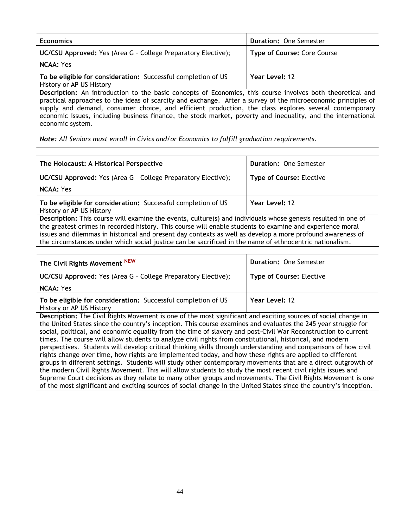| <b>Economics</b>                                                                                           | <b>Duration: One Semester</b> |
|------------------------------------------------------------------------------------------------------------|-------------------------------|
| UC/CSU Approved: Yes (Area G - College Preparatory Elective);                                              | Type of Course: Core Course   |
| <b>NCAA: Yes</b>                                                                                           |                               |
| To be eligible for consideration: Successful completion of US<br>History or AP US History                  | Year Level: 12                |
| Description: An introduction to the basic concepts of Economics, this course involves both theoretical and |                               |

practical approaches to the ideas of scarcity and exchange. After a survey of the microeconomic principles of supply and demand, consumer choice, and efficient production, the class explores several contemporary economic issues, including business finance, the stock market, poverty and inequality, and the international economic system.

*Note: All Seniors must enroll in Civics and/or Economics to fulfill graduation requirements.*

| The Holocaust: A Historical Perspective                                                                                                                                                                                                                                                                                                                                                                                                             | <b>Duration: One Semester</b>   |
|-----------------------------------------------------------------------------------------------------------------------------------------------------------------------------------------------------------------------------------------------------------------------------------------------------------------------------------------------------------------------------------------------------------------------------------------------------|---------------------------------|
| UC/CSU Approved: Yes (Area G - College Preparatory Elective);                                                                                                                                                                                                                                                                                                                                                                                       | <b>Type of Course: Elective</b> |
| <b>NCAA: Yes</b>                                                                                                                                                                                                                                                                                                                                                                                                                                    |                                 |
| To be eligible for consideration: Successful completion of US<br>History or AP US History                                                                                                                                                                                                                                                                                                                                                           | Year Level: 12                  |
| Description: This course will examine the events, culture(s) and individuals whose genesis resulted in one of<br>the greatest crimes in recorded history. This course will enable students to examine and experience moral<br>issues and dilemmas in historical and present day contexts as well as develop a more profound awareness of<br>the circumstances under which social justice can be sacrificed in the name of ethnocentric nationalism. |                                 |

| The Civil Rights Movement NEW                                                             | <b>Duration: One Semester</b>   |
|-------------------------------------------------------------------------------------------|---------------------------------|
| UC/CSU Approved: Yes (Area G - College Preparatory Elective);                             | <b>Type of Course: Elective</b> |
| <b>NCAA: Yes</b>                                                                          |                                 |
| To be eligible for consideration: Successful completion of US<br>History or AP US History | Year Level: 12                  |

**Description:** The Civil Rights Movement is one of the most significant and exciting sources of social change in the United States since the country's inception. This course examines and evaluates the 245 year struggle for social, political, and economic equality from the time of slavery and post-Civil War Reconstruction to current times. The course will allow students to analyze civil rights from constitutional, historical, and modern perspectives. Students will develop critical thinking skills through understanding and comparisons of how civil rights change over time, how rights are implemented today, and how these rights are applied to different groups in different settings. Students will study other contemporary movements that are a direct outgrowth of the modern Civil Rights Movement. This will allow students to study the most recent civil rights issues and Supreme Court decisions as they relate to many other groups and movements. The Civil Rights Movement is one of the most significant and exciting sources of social change in the United States since the country's inception.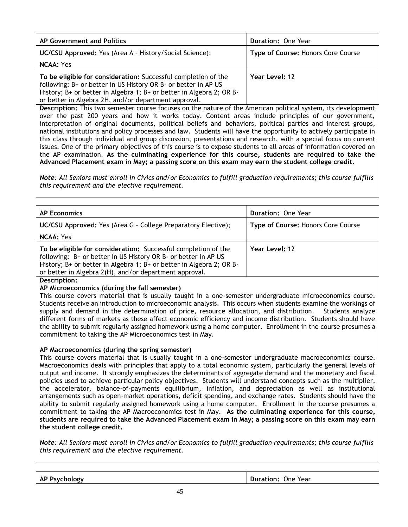| AP Government and Politics                                                                                                                                                                                                                                       | <b>Duration: One Year</b>          |
|------------------------------------------------------------------------------------------------------------------------------------------------------------------------------------------------------------------------------------------------------------------|------------------------------------|
| <b>UC/CSU Approved:</b> Yes (Area A - History/Social Science);                                                                                                                                                                                                   | Type of Course: Honors Core Course |
| <b>NCAA:</b> Yes                                                                                                                                                                                                                                                 |                                    |
| To be eligible for consideration: Successful completion of the<br>following: B+ or better in US History OR B- or better in AP US<br>History; B+ or better in Algebra 1; B+ or better in Algebra 2; OR B-<br>or better in Algebra 2H, and/or department approval. | Year Level: 12                     |

**Description:** This two semester course focuses on the nature of the American political system, its development over the past 200 years and how it works today. Content areas include principles of our government, interpretation of original documents, political beliefs and behaviors, political parties and interest groups, national institutions and policy processes and law. Students will have the opportunity to actively participate in this class through individual and group discussion, presentations and research, with a special focus on current issues. One of the primary objectives of this course is to expose students to all areas of information covered on the AP examination. **As the culminating experience for this course, students are required to take the Advanced Placement exam in May; a passing score on this exam may earn the student college credit.**

*Note: All Seniors must enroll in Civics and/or Economics to fulfill graduation requirements; this course fulfills this requirement and the elective requirement.*

| <b>AP Economics</b>                                                                                                                                                                                                                                                | <b>Duration: One Year</b>          |
|--------------------------------------------------------------------------------------------------------------------------------------------------------------------------------------------------------------------------------------------------------------------|------------------------------------|
| <b>UC/CSU Approved:</b> Yes (Area G - College Preparatory Elective);                                                                                                                                                                                               | Type of Course: Honors Core Course |
| <b>NCAA: Yes</b>                                                                                                                                                                                                                                                   |                                    |
| To be eligible for consideration: Successful completion of the<br>following: B+ or better in US History OR B- or better in AP US<br>History; B+ or better in Algebra 1; B+ or better in Algebra 2; OR B-<br>or better in Algebra 2(H), and/or department approval. | Year Level: 12                     |
| Desseintiant                                                                                                                                                                                                                                                       |                                    |

**Description:**

### **AP Microeconomics (during the fall semester)**

This course covers material that is usually taught in a one-semester undergraduate microeconomics course. Students receive an introduction to microeconomic analysis. This occurs when students examine the workings of supply and demand in the determination of price, resource allocation, and distribution. Students analyze different forms of markets as these affect economic efficiency and income distribution. Students should have the ability to submit regularly assigned homework using a home computer. Enrollment in the course presumes a commitment to taking the AP Microeconomics test in May.

### **AP Macroeconomics (during the spring semester)**

This course covers material that is usually taught in a one-semester undergraduate macroeconomics course. Macroeconomics deals with principles that apply to a total economic system, particularly the general levels of output and income. It strongly emphasizes the determinants of aggregate demand and the monetary and fiscal policies used to achieve particular policy objectives. Students will understand concepts such as the multiplier, the accelerator, balance-of-payments equilibrium, inflation, and depreciation as well as institutional arrangements such as open-market operations, deficit spending, and exchange rates. Students should have the ability to submit regularly assigned homework using a home computer. Enrollment in the course presumes a commitment to taking the AP Macroeconomics test in May. **As the culminating experience for this course, students are required to take the Advanced Placement exam in May; a passing score on this exam may earn the student college credit.**

*Note: All Seniors must enroll in Civics and/or Economics to fulfill graduation requirements; this course fulfills this requirement and the elective requirement.*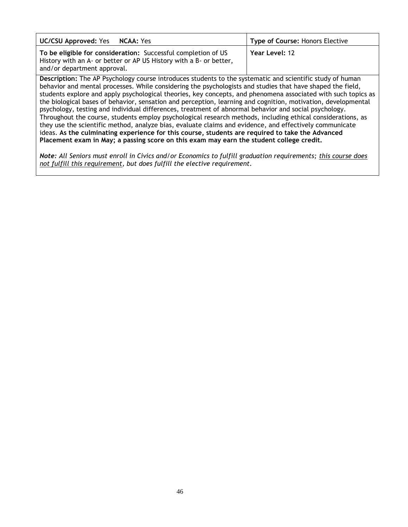| <b>UC/CSU Approved: Yes NCAA: Yes</b>                                                                                                                              | <b>Type of Course: Honors Elective</b> |
|--------------------------------------------------------------------------------------------------------------------------------------------------------------------|----------------------------------------|
| To be eligible for consideration: Successful completion of US<br>History with an A- or better or AP US History with a B- or better,<br>and/or department approval. | Year Level: 12                         |
| Description: The AP Psychology course introduces students to the systematic and scientific study of human                                                          |                                        |

behavior and mental processes. While considering the psychologists and studies that have shaped the field, students explore and apply psychological theories, key concepts, and phenomena associated with such topics as the biological bases of behavior, sensation and perception, learning and cognition, motivation, developmental psychology, testing and individual differences, treatment of abnormal behavior and social psychology. Throughout the course, students employ psychological research methods, including ethical considerations, as they use the scientific method, analyze bias, evaluate claims and evidence, and effectively communicate ideas. **As the culminating experience for this course, students are required to take the Advanced Placement exam in May; a passing score on this exam may earn the student college credit.**

*Note: All Seniors must enroll in Civics and/or Economics to fulfill graduation requirements; this course does not fulfill this requirement, but does fulfill the elective requirement.*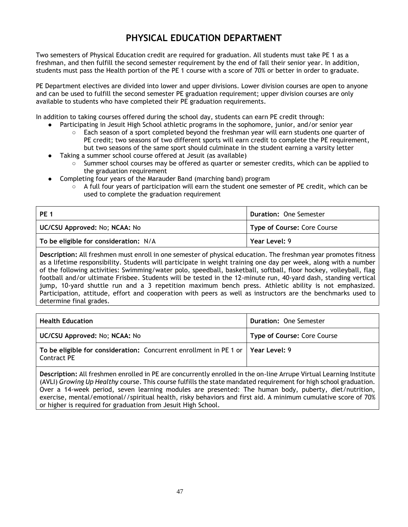## **PHYSICAL EDUCATION DEPARTMENT**

Two semesters of Physical Education credit are required for graduation. All students must take PE 1 as a freshman, and then fulfill the second semester requirement by the end of fall their senior year. In addition, students must pass the Health portion of the PE 1 course with a score of 70% or better in order to graduate.

PE Department electives are divided into lower and upper divisions. Lower division courses are open to anyone and can be used to fulfill the second semester PE graduation requirement; upper division courses are only available to students who have completed their PE graduation requirements.

In addition to taking courses offered during the school day, students can earn PE credit through:

- Participating in Jesuit High School athletic programs in the sophomore, junior, and/or senior year
	- Each season of a sport completed beyond the freshman year will earn students one quarter of PE credit; two seasons of two different sports will earn credit to complete the PE requirement, but two seasons of the same sport should culminate in the student earning a varsity letter
- Taking a summer school course offered at Jesuit (as available)
	- Summer school courses may be offered as quarter or semester credits, which can be applied to the graduation requirement
- Completing four years of the Marauder Band (marching band) program
	- $\circ$  A full four years of participation will earn the student one semester of PE credit, which can be used to complete the graduation requirement

| PE 1                                  | <b>Duration: One Semester</b> |
|---------------------------------------|-------------------------------|
| UC/CSU Approved: No; NCAA: No         | Type of Course: Core Course   |
| To be eligible for consideration: N/A | Year Level: 9                 |

**Description:** All freshmen must enroll in one semester of physical education. The freshman year promotes fitness as a lifetime responsibility. Students will participate in weight training one day per week, along with a number of the following activities: Swimming/water polo, speedball, basketball, softball, floor hockey, volleyball, flag football and/or ultimate Frisbee. Students will be tested in the 12-minute run, 40-yard dash, standing vertical jump, 10-yard shuttle run and a 3 repetition maximum bench press. Athletic ability is not emphasized. Participation, attitude, effort and cooperation with peers as well as instructors are the benchmarks used to determine final grades.

| <b>Health Education</b>                                                                           | <b>Duration: One Semester</b> |
|---------------------------------------------------------------------------------------------------|-------------------------------|
| UC/CSU Approved: No; NCAA: No                                                                     | Type of Course: Core Course   |
| To be eligible for consideration: Concurrent enrollment in PE 1 or   Year Level: 9<br>Contract PE |                               |

**Description:** All freshmen enrolled in PE are concurrently enrolled in the on-line Arrupe Virtual Learning Institute (AVLI) *Growing Up Healthy* course. This course fulfills the state mandated requirement for high school graduation. Over a 14-week period, seven learning modules are presented: The human body, puberty, diet/nutrition, exercise, mental/emotional//spiritual health, risky behaviors and first aid. A minimum cumulative score of 70% or higher is required for graduation from Jesuit High School.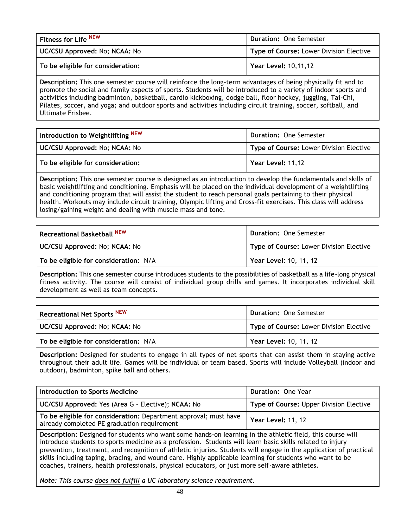| Fitness for Life NEW              | <b>Duration: One Semester</b>           |
|-----------------------------------|-----------------------------------------|
| UC/CSU Approved: No; NCAA: No     | Type of Course: Lower Division Elective |
| To be eligible for consideration: | Year Level: 10,11,12                    |

**Description:** This one semester course will reinforce the long-term advantages of being physically fit and to promote the social and family aspects of sports. Students will be introduced to a variety of indoor sports and activities including badminton, basketball, cardio kickboxing, dodge ball, floor hockey, juggling, Tai-Chi, Pilates, soccer, and yoga; and outdoor sports and activities including circuit training, soccer, softball, and Ultimate Frisbee.

| Introduction to Weightlifting <sup>NEW</sup> | <b>Duration: One Semester</b>           |
|----------------------------------------------|-----------------------------------------|
| UC/CSU Approved: No; NCAA: No                | Type of Course: Lower Division Elective |
| To be eligible for consideration:            | Year Level: 11,12                       |

**Description:** This one semester course is designed as an introduction to develop the fundamentals and skills of basic weightlifting and conditioning. Emphasis will be placed on the individual development of a weightlifting and conditioning program that will assist the student to reach personal goals pertaining to their physical health. Workouts may include circuit training, Olympic lifting and Cross-fit exercises. This class will address losing/gaining weight and dealing with muscle mass and tone.

| Recreational Basketball NEW           | <b>Duration: One Semester</b>           |
|---------------------------------------|-----------------------------------------|
| UC/CSU Approved: No; NCAA: No         | Type of Course: Lower Division Elective |
| To be eligible for consideration: N/A | Year Level: 10, 11, 12                  |

**Description:** This one semester course introduces students to the possibilities of basketball as a life-long physical fitness activity. The course will consist of individual group drills and games. It incorporates individual skill development as well as team concepts.

| <b>Recreational Net Sports NEW</b>    | <b>Duration: One Semester</b>           |
|---------------------------------------|-----------------------------------------|
| UC/CSU Approved: No; NCAA: No         | Type of Course: Lower Division Elective |
| To be eligible for consideration: N/A | Year Level: 10, 11, 12                  |

**Description:** Designed for students to engage in all types of net sports that can assist them in staying active throughout their adult life. Games will be individual or team based. Sports will include Volleyball (indoor and outdoor), badminton, spike ball and others.

| <b>Introduction to Sports Medicine</b>                                                                          | <b>Duration: One Year</b>               |
|-----------------------------------------------------------------------------------------------------------------|-----------------------------------------|
| UC/CSU Approved: Yes (Area G - Elective); NCAA: No                                                              | Type of Course: Upper Division Elective |
| To be eligible for consideration: Department approval; must have<br>already completed PE graduation requirement | Year Level: 11, 12                      |

**Description:** Designed for students who want some hands-on learning in the athletic field, this course will introduce students to sports medicine as a profession. Students will learn basic skills related to injury prevention, treatment, and recognition of athletic injuries. Students will engage in the application of practical skills including taping, bracing, and wound care. Highly applicable learning for students who want to be coaches, trainers, health professionals, physical educators, or just more self-aware athletes.

*Note: This course does not fulfill a UC laboratory science requirement.*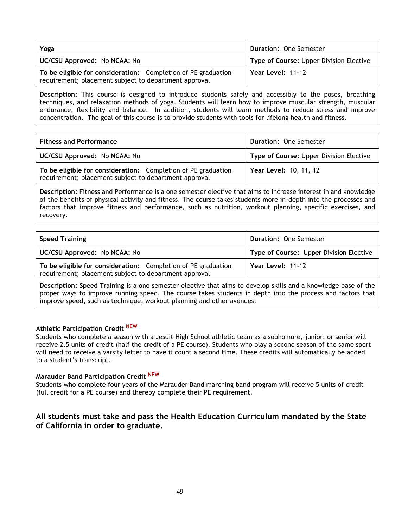| Yoga                                                                                                                   | <b>Duration: One Semester</b>           |
|------------------------------------------------------------------------------------------------------------------------|-----------------------------------------|
| UC/CSU Approved: No NCAA: No                                                                                           | Type of Course: Upper Division Elective |
| To be eligible for consideration: Completion of PE graduation<br>requirement; placement subject to department approval | Year Level: 11-12                       |

**Description:** This course is designed to introduce students safely and accessibly to the poses, breathing techniques, and relaxation methods of yoga. Students will learn how to improve muscular strength, muscular endurance, flexibility and balance. In addition, students will learn methods to reduce stress and improve concentration. The goal of this course is to provide students with tools for lifelong health and fitness.

| <b>Fitness and Performance</b>                                                                                         | <b>Duration: One Semester</b>           |
|------------------------------------------------------------------------------------------------------------------------|-----------------------------------------|
| UC/CSU Approved: No NCAA: No                                                                                           | Type of Course: Upper Division Elective |
| To be eligible for consideration: Completion of PE graduation<br>requirement; placement subject to department approval | Year Level: 10, 11, 12                  |

**Description:** Fitness and Performance is a one semester elective that aims to increase interest in and knowledge of the benefits of physical activity and fitness. The course takes students more in-depth into the processes and factors that improve fitness and performance, such as nutrition, workout planning, specific exercises, and recovery.

| <b>Speed Training</b>                                                                                                  | <b>Duration: One Semester</b>           |
|------------------------------------------------------------------------------------------------------------------------|-----------------------------------------|
| UC/CSU Approved: No NCAA: No                                                                                           | Type of Course: Upper Division Elective |
| To be eligible for consideration: Completion of PE graduation<br>requirement; placement subject to department approval | Year Level: 11-12                       |
|                                                                                                                        |                                         |

**Description:** Speed Training is a one semester elective that aims to develop skills and a knowledge base of the proper ways to improve running speed. The course takes students in depth into the process and factors that improve speed, such as technique, workout planning and other avenues.

### **Athletic Participation Credit NEW**

Students who complete a season with a Jesuit High School athletic team as a sophomore, junior, or senior will receive 2.5 units of credit (half the credit of a PE course). Students who play a second season of the same sport will need to receive a varsity letter to have it count a second time. These credits will automatically be added to a student's transcript.

#### **Marauder Band Participation Credit NEW**

Students who complete four years of the Marauder Band marching band program will receive 5 units of credit (full credit for a PE course) and thereby complete their PE requirement.

### **All students must take and pass the Health Education Curriculum mandated by the State of California in order to graduate.**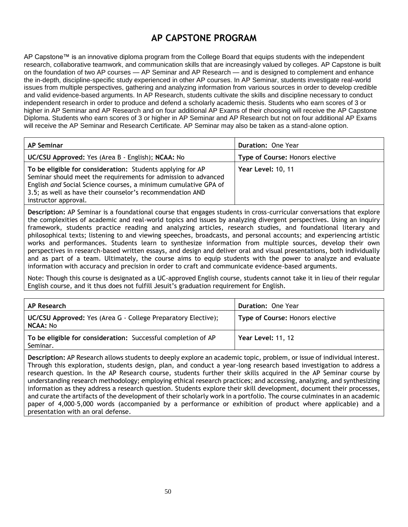## **AP CAPSTONE PROGRAM**

AP Capstone™ is an innovative diploma program from the College Board that equips students with the independent research, collaborative teamwork, and communication skills that are increasingly valued by colleges. AP Capstone is built on the foundation of two AP courses — AP Seminar and AP Research — and is designed to complement and enhance the in-depth, discipline-specific study experienced in other AP courses. In AP Seminar, students investigate real-world issues from multiple perspectives, gathering and analyzing information from various sources in order to develop credible and valid evidence-based arguments. In AP Research, students cultivate the skills and discipline necessary to conduct independent research in order to produce and defend a scholarly academic thesis. Students who earn scores of 3 or higher in AP Seminar and AP Research and on four additional AP Exams of their choosing will receive the AP Capstone Diploma. Students who earn scores of 3 or higher in AP Seminar and AP Research but not on four additional AP Exams will receive the AP Seminar and Research Certificate. AP Seminar may also be taken as a stand-alone option.

| <b>AP Seminar</b>                                                                                                                                                                                                                                                                    | <b>Duration: One Year</b>       |
|--------------------------------------------------------------------------------------------------------------------------------------------------------------------------------------------------------------------------------------------------------------------------------------|---------------------------------|
| UC/CSU Approved: Yes (Area B - English); NCAA: No                                                                                                                                                                                                                                    | Type of Course: Honors elective |
| To be eligible for consideration: Students applying for AP<br>Seminar should meet the requirements for admission to advanced<br>English and Social Science courses, a minimum cumulative GPA of<br>3.5; as well as have their counselor's recommendation AND<br>instructor approval. | Year Level: 10, 11              |

**Description:** AP Seminar is a foundational course that engages students in cross-curricular conversations that explore the complexities of academic and real-world topics and issues by analyzing divergent perspectives. Using an inquiry framework, students practice reading and analyzing articles, research studies, and foundational literary and philosophical texts; listening to and viewing speeches, broadcasts, and personal accounts; and experiencing artistic works and performances. Students learn to synthesize information from multiple sources, develop their own perspectives in research-based written essays, and design and deliver oral and visual presentations, both individually and as part of a team. Ultimately, the course aims to equip students with the power to analyze and evaluate information with accuracy and precision in order to craft and communicate evidence-based arguments.

Note: Though this course is designated as a UC-approved English course, students cannot take it in lieu of their regular English course, and it thus does not fulfill Jesuit's graduation requirement for English.

| AP Research                                                                      | <b>Duration: One Year</b>       |
|----------------------------------------------------------------------------------|---------------------------------|
| <b>UC/CSU Approved:</b> Yes (Area G - College Preparatory Elective);<br>NCAA: No | Type of Course: Honors elective |
| To be eligible for consideration: Successful completion of AP<br>Seminar.        | Year Level: 11, 12              |

**Description:** AP Research allows students to deeply explore an academic topic, problem, or issue of individual interest. Through this exploration, students design, plan, and conduct a year-long research based investigation to address a research question. In the AP Research course, students further their skills acquired in the AP Seminar course by understanding research methodology; employing ethical research practices; and accessing, analyzing, and synthesizing information as they address a research question. Students explore their skill development, document their processes, and curate the artifacts of the development of their scholarly work in a portfolio. The course culminates in an academic paper of 4,000–5,000 words (accompanied by a performance or exhibition of product where applicable) and a presentation with an oral defense.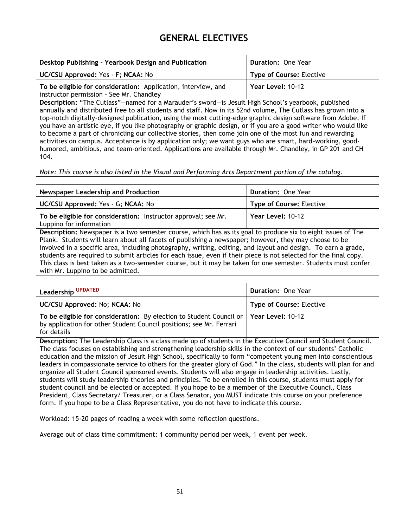## **GENERAL ELECTIVES**

| Desktop Publishing - Yearbook Design and Publication                                                      | <b>Duration: One Year</b>       |
|-----------------------------------------------------------------------------------------------------------|---------------------------------|
| UC/CSU Approved: Yes - F; NCAA: No                                                                        | <b>Type of Course: Elective</b> |
| To be eligible for consideration: Application, interview, and<br>instructor permission - See Mr. Chandley | Year Level: 10-12               |

**Description:** "The Cutlass"—named for a Marauder's sword—is Jesuit High School's yearbook, published annually and distributed free to all students and staff. Now in its 52nd volume, The Cutlass has grown into a top-notch digitally-designed publication, using the most cutting-edge graphic design software from Adobe. If you have an artistic eye, if you like photography or graphic design, or if you are a good writer who would like to become a part of chronicling our collective stories, then come join one of the most fun and rewarding activities on campus. Acceptance is by application only; we want guys who are smart, hard-working, goodhumored, ambitious, and team-oriented. Applications are available through Mr. Chandley, in GP 201 and CH 104.

*Note: This course is also listed in the Visual and Performing Arts Department portion of the catalog.*

| Newspaper Leadership and Production                                                                                                                                                                                                                                                                                                                                                                                                                                                                                                                                                                             | Duration: One Year              |
|-----------------------------------------------------------------------------------------------------------------------------------------------------------------------------------------------------------------------------------------------------------------------------------------------------------------------------------------------------------------------------------------------------------------------------------------------------------------------------------------------------------------------------------------------------------------------------------------------------------------|---------------------------------|
| UC/CSU Approved: Yes - G; NCAA: No                                                                                                                                                                                                                                                                                                                                                                                                                                                                                                                                                                              | <b>Type of Course: Elective</b> |
| To be eligible for consideration: Instructor approval; see Mr.<br>Luppino for information                                                                                                                                                                                                                                                                                                                                                                                                                                                                                                                       | Year Level: 10-12               |
| Description: Newspaper is a two semester course, which has as its goal to produce six to eight issues of The<br>Plank. Students will learn about all facets of publishing a newspaper; however, they may choose to be<br>involved in a specific area, including photography, writing, editing, and layout and design. To earn a grade,<br>students are required to submit articles for each issue, even if their piece is not selected for the final copy.<br>This class is best taken as a two-semester course, but it may be taken for one semester. Students must confer<br>with Mr. Luppino to be admitted. |                                 |

| Leadership UPDATED                                                                                                                                                            | <b>Duration: One Year</b>       |
|-------------------------------------------------------------------------------------------------------------------------------------------------------------------------------|---------------------------------|
| UC/CSU Approved: No; NCAA: No                                                                                                                                                 | <b>Type of Course: Elective</b> |
| To be eligible for consideration: By election to Student Council or   Year Level: 10-12<br>by application for other Student Council positions; see Mr. Ferrari<br>for details |                                 |

**Description:** The Leadership Class is a class made up of students in the Executive Council and Student Council. The class focuses on establishing and strengthening leadership skills in the context of our students' Catholic education and the mission of Jesuit High School, specifically to form "competent young men into conscientious leaders in compassionate service to others for the greater glory of God." In the class, students will plan for and organize all Student Council sponsored events. Students will also engage in leadership activities. Lastly, students will study leadership theories and principles. To be enrolled in this course, students must apply for student council and be elected or accepted. If you hope to be a member of the Executive Council, Class President, Class Secretary/ Treasurer, or a Class Senator, you MUST indicate this course on your preference form. If you hope to be a Class Representative, you do not have to indicate this course.

Workload: 15-20 pages of reading a week with some reflection questions.

Average out of class time commitment: 1 community period per week, 1 event per week.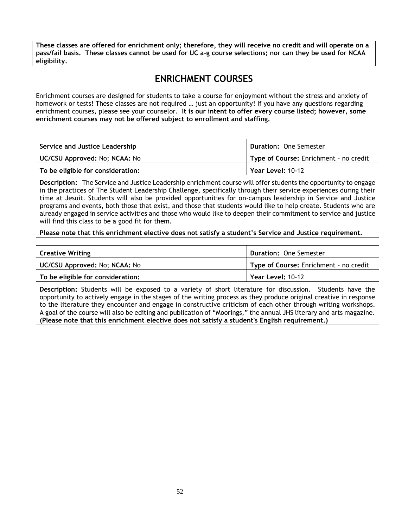<span id="page-51-0"></span>**These classes are offered for enrichment only; therefore, they will receive no credit and will operate on a pass/fail basis. These classes cannot be used for UC a-g course selections; nor can they be used for NCAA eligibility.**

## **ENRICHMENT COURSES**

Enrichment courses are designed for students to take a course for enjoyment without the stress and anxiety of homework or tests! These classes are not required … just an opportunity! If you have any questions regarding enrichment courses, please see your counselor. **It is our intent to offer every course listed; however, some enrichment courses may not be offered subject to enrollment and staffing.**

| Service and Justice Leadership    | Duration: One Semester                 |
|-----------------------------------|----------------------------------------|
| UC/CSU Approved: No; NCAA: No     | Type of Course: Enrichment - no credit |
| To be eligible for consideration: | Year Level: 10-12                      |

**Description:** The Service and Justice Leadership enrichment course will offer students the opportunity to engage in the practices of The Student Leadership Challenge, specifically through their service experiences during their time at Jesuit. Students will also be provided opportunities for on-campus leadership in Service and Justice programs and events, both those that exist, and those that students would like to help create. Students who are already engaged in service activities and those who would like to deepen their commitment to service and justice will find this class to be a good fit for them.

**Please note that this enrichment elective does not satisfy a student's Service and Justice requirement.**

| <b>Creative Writing</b>           | <b>Duration: One Semester</b>          |
|-----------------------------------|----------------------------------------|
| UC/CSU Approved: No; NCAA: No     | Type of Course: Enrichment - no credit |
| To be eligible for consideration: | Year Level: 10-12                      |

**Description:** Students will be exposed to a variety of short literature for discussion. Students have the opportunity to actively engage in the stages of the writing process as they produce original creative in response to the literature they encounter and engage in constructive criticism of each other through writing workshops. A goal of the course will also be editing and publication of "Moorings," the annual JHS literary and arts magazine. **(Please note that this enrichment elective does not satisfy a student's English requirement.)**